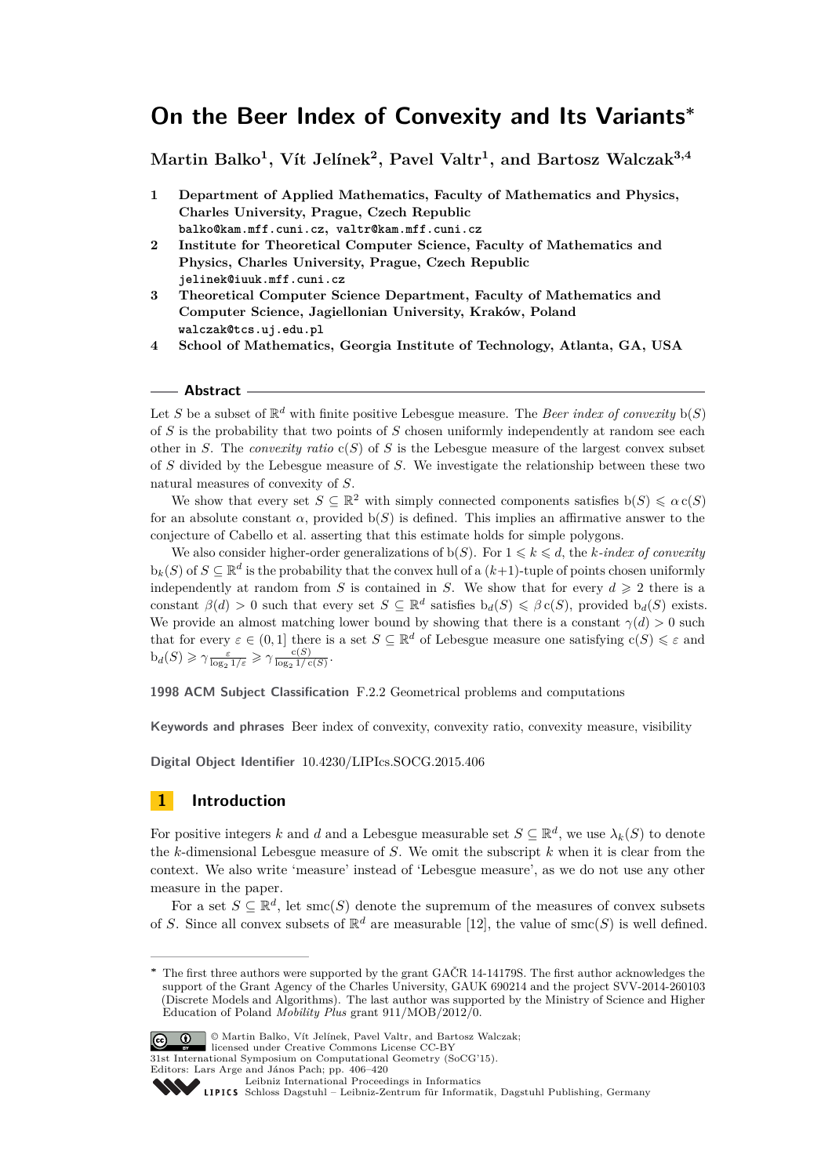# **On the Beer Index of Convexity and Its Variants<sup>∗</sup>**

**Martin Balko<sup>1</sup> , Vít Jelínek<sup>2</sup> , Pavel Valtr<sup>1</sup> , and Bartosz Walczak3,4**

- **1 Department of Applied Mathematics, Faculty of Mathematics and Physics, Charles University, Prague, Czech Republic balko@kam.mff.cuni.cz, valtr@kam.mff.cuni.cz**
- **2 Institute for Theoretical Computer Science, Faculty of Mathematics and Physics, Charles University, Prague, Czech Republic jelinek@iuuk.mff.cuni.cz**
- **3 Theoretical Computer Science Department, Faculty of Mathematics and Computer Science, Jagiellonian University, Kraków, Poland walczak@tcs.uj.edu.pl**
- **4 School of Mathematics, Georgia Institute of Technology, Atlanta, GA, USA**

#### **Abstract**

Let *S* be a subset of  $\mathbb{R}^d$  with finite positive Lebesgue measure. The *Beer index of convexity*  $b(S)$ of *S* is the probability that two points of *S* chosen uniformly independently at random see each other in *S*. The *convexity ratio* c(*S*) of *S* is the Lebesgue measure of the largest convex subset of *S* divided by the Lebesgue measure of *S*. We investigate the relationship between these two natural measures of convexity of *S*.

We show that every set  $S \subseteq \mathbb{R}^2$  with simply connected components satisfies  $b(S) \leq a c(S)$ for an absolute constant  $\alpha$ , provided  $b(S)$  is defined. This implies an affirmative answer to the conjecture of Cabello et al. asserting that this estimate holds for simple polygons.

We also consider higher-order generalizations of  $b(S)$ . For  $1 \leq k \leq d$ , the *k*-index of convexity  $b_k(S)$  of  $S \subseteq \mathbb{R}^d$  is the probability that the convex hull of a  $(k+1)$ -tuple of points chosen uniformly independently at random from *S* is contained in *S*. We show that for every  $d \geq 2$  there is a constant  $\beta(d) > 0$  such that every set  $S \subseteq \mathbb{R}^d$  satisfies  $b_d(S) \leq \beta c(S)$ , provided  $b_d(S)$  exists. We provide an almost matching lower bound by showing that there is a constant  $\gamma(d) > 0$  such that for every  $\varepsilon \in (0,1]$  there is a set  $S \subseteq \mathbb{R}^d$  of Lebesgue measure one satisfying  $c(S) \leq \varepsilon$  and  $b_d(S) \geq \gamma \frac{\varepsilon}{\log_2 1/\varepsilon} \geqslant \gamma \frac{c(S)}{\log_2 1/c(S)}.$ 

**1998 ACM Subject Classification** F.2.2 Geometrical problems and computations

**Keywords and phrases** Beer index of convexity, convexity ratio, convexity measure, visibility

**Digital Object Identifier** [10.4230/LIPIcs.SOCG.2015.406](http://dx.doi.org/10.4230/LIPIcs.SOCG.2015.406)

# **1 Introduction**

For positive integers *k* and *d* and a Lebesgue measurable set  $S \subseteq \mathbb{R}^d$ , we use  $\lambda_k(S)$  to denote the *k*-dimensional Lebesgue measure of *S*. We omit the subscript *k* when it is clear from the context. We also write 'measure' instead of 'Lebesgue measure', as we do not use any other measure in the paper.

For a set  $S \subseteq \mathbb{R}^d$ , let smc(*S*) denote the supremum of the measures of convex subsets of *S*. Since all convex subsets of  $\mathbb{R}^d$  are measurable [\[12\]](#page-14-0), the value of smc(*S*) is well defined.

The first three authors were supported by the grant GAČR 14-14179S. The first author acknowledges the support of the Grant Agency of the Charles University, GAUK 690214 and the project SVV-2014-260103 (Discrete Models and Algorithms). The last author was supported by the Ministry of Science and Higher Education of Poland *Mobility Plus* grant 911/MOB/2012/0.



<sup>©</sup> Martin Balko, Vít Jelínek, Pavel Valtr, and Bartosz Walczak; licensed under Creative Commons License CC-BY

<sup>31</sup>st International Symposium on Computational Geometry (SoCG'15).

Editors: Lars Arge and János Pach; pp. 406[–420](#page-14-1)

[Leibniz International Proceedings in Informatics](http://www.dagstuhl.de/lipics/)

Leibniz International Proceedings in iniomatics<br>
LIPICS [Schloss Dagstuhl – Leibniz-Zentrum für Informatik, Dagstuhl Publishing, Germany](http://www.dagstuhl.de)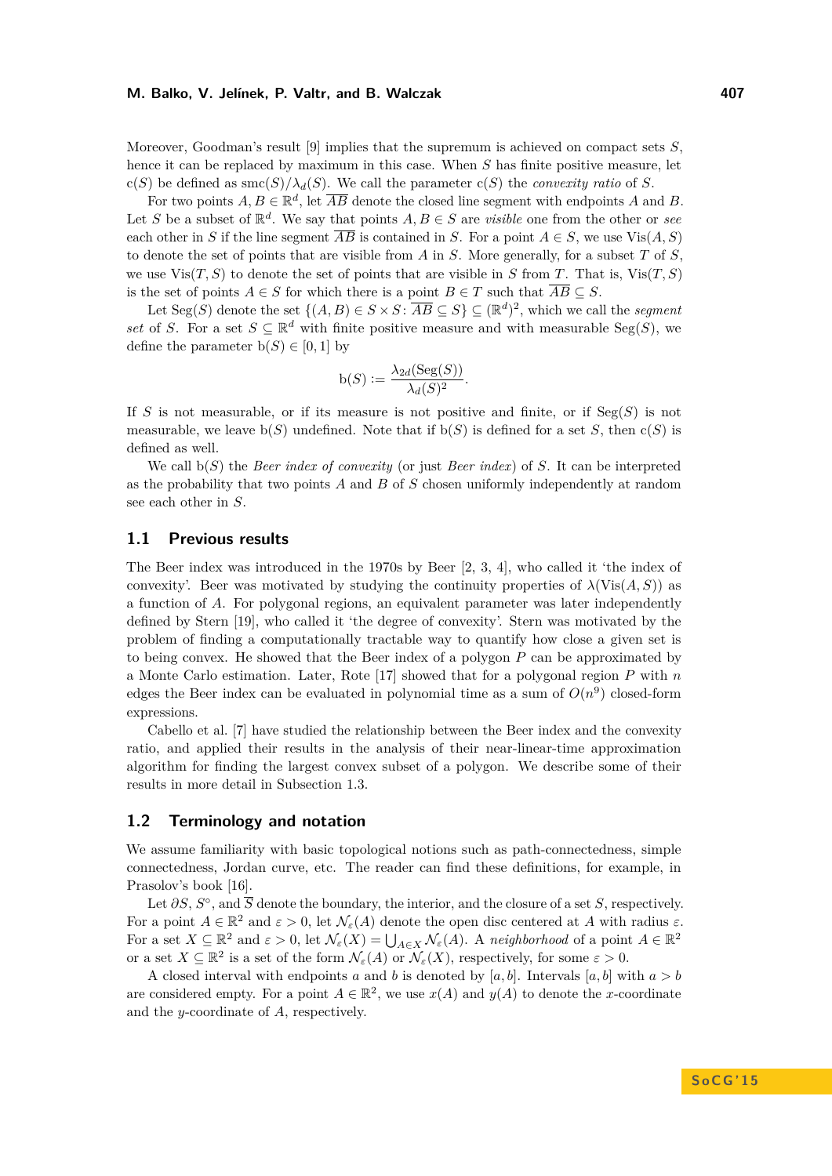Moreover, Goodman's result [\[9\]](#page-14-2) implies that the supremum is achieved on compact sets *S*, hence it can be replaced by maximum in this case. When *S* has finite positive measure, let c(*S*) be defined as  $smc(S)/\lambda_d(S)$ . We call the parameter  $c(S)$  the *convexity ratio* of *S*.

For two points  $A, B \in \mathbb{R}^d$ , let  $\overline{AB}$  denote the closed line segment with endpoints A and B. Let *S* be a subset of  $\mathbb{R}^d$ . We say that points  $A, B \in S$  are *visible* one from the other or *see* each other in *S* if the line segment  $\overline{AB}$  is contained in *S*. For a point  $A \in S$ , we use  $\text{Vis}(A, S)$ to denote the set of points that are visible from *A* in *S*. More generally, for a subset *T* of *S*, we use  $Vis(T, S)$  to denote the set of points that are visible in *S* from *T*. That is,  $Vis(T, S)$ is the set of points  $A \in S$  for which there is a point  $B \in T$  such that  $\overline{AB} \subseteq S$ .

Let  $Seg(S)$  denote the set  $\{(A, B) \in S \times S : \overline{AB} \subseteq S\} \subseteq (\mathbb{R}^d)^2$ , which we call the *segment set* of *S*. For a set  $S \subseteq \mathbb{R}^d$  with finite positive measure and with measurable Seg(*S*), we define the parameter  $b(S) \in [0, 1]$  by

$$
b(S) := \frac{\lambda_{2d}(Seg(S))}{\lambda_d(S)^2}.
$$

If *S* is not measurable, or if its measure is not positive and finite, or if Seg(*S*) is not measurable, we leave  $b(S)$  undefined. Note that if  $b(S)$  is defined for a set *S*, then  $c(S)$  is defined as well.

We call b(*S*) the *Beer index of convexity* (or just *Beer index*) of *S*. It can be interpreted as the probability that two points *A* and *B* of *S* chosen uniformly independently at random see each other in *S*.

### **1.1 Previous results**

The Beer index was introduced in the 1970s by Beer [\[2,](#page-14-3) [3,](#page-14-4) [4\]](#page-14-5), who called it 'the index of convexity'. Beer was motivated by studying the continuity properties of  $\lambda$ (Vis $(A, S)$ ) as a function of *A*. For polygonal regions, an equivalent parameter was later independently defined by Stern [\[19\]](#page-14-6), who called it 'the degree of convexity'. Stern was motivated by the problem of finding a computationally tractable way to quantify how close a given set is to being convex. He showed that the Beer index of a polygon *P* can be approximated by a Monte Carlo estimation. Later, Rote [\[17\]](#page-14-7) showed that for a polygonal region *P* with *n* edges the Beer index can be evaluated in polynomial time as a sum of  $O(n^9)$  closed-form expressions.

Cabello et al. [\[7\]](#page-14-8) have studied the relationship between the Beer index and the convexity ratio, and applied their results in the analysis of their near-linear-time approximation algorithm for finding the largest convex subset of a polygon. We describe some of their results in more detail in Subsection [1.3.](#page-2-0)

### **1.2 Terminology and notation**

We assume familiarity with basic topological notions such as path-connectedness, simple connectedness, Jordan curve, etc. The reader can find these definitions, for example, in Prasolov's book [\[16\]](#page-14-9).

Let  $\partial S$ ,  $S^{\circ}$ , and  $\overline{S}$  denote the boundary, the interior, and the closure of a set *S*, respectively. For a point  $A \in \mathbb{R}^2$  and  $\varepsilon > 0$ , let  $\mathcal{N}_{\varepsilon}(A)$  denote the open disc centered at A with radius  $\varepsilon$ . For a set  $X \subseteq \mathbb{R}^2$  and  $\varepsilon > 0$ , let  $\mathcal{N}_{\varepsilon}(X) = \bigcup_{A \in X} \mathcal{N}_{\varepsilon}(A)$ . A *neighborhood* of a point  $A \in \mathbb{R}^2$ or a set  $X \subseteq \mathbb{R}^2$  is a set of the form  $\mathcal{N}_{\varepsilon}(A)$  or  $\mathcal{N}_{\varepsilon}(X)$ , respectively, for some  $\varepsilon > 0$ .

A closed interval with endpoints *a* and *b* is denoted by [*a, b*]. Intervals [*a, b*] with  $a > b$ are considered empty. For a point  $A \in \mathbb{R}^2$ , we use  $x(A)$  and  $y(A)$  to denote the *x*-coordinate and the *y*-coordinate of *A*, respectively.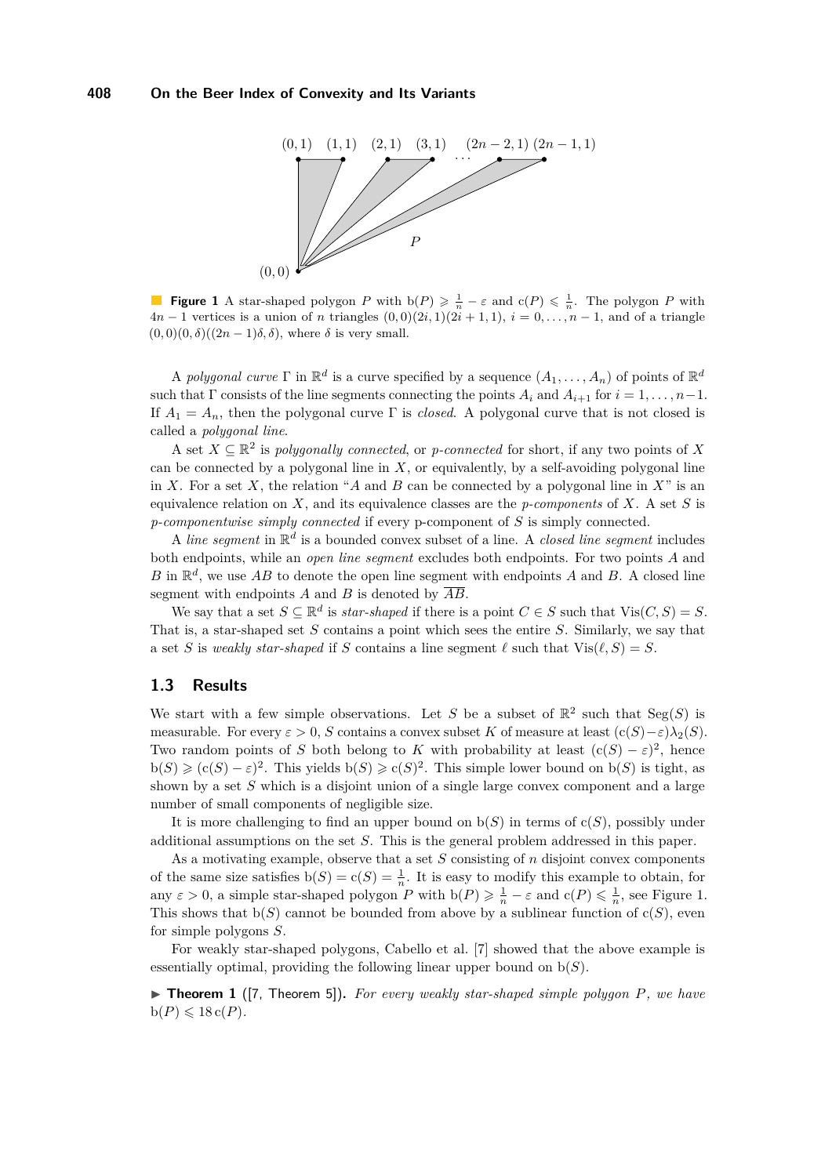<span id="page-2-1"></span>

**Figure 1** A star-shaped polygon *P* with  $b(P) \geq \frac{1}{n} - \varepsilon$  and  $c(P) \leq \frac{1}{n}$ . The polygon *P* with  $4n-1$  vertices is a union of *n* triangles  $(0,0)(2i,1)(2i+1,1), i=0,\ldots,n-1$ , and of a triangle  $(0,0)(0,\delta)((2n-1)\delta,\delta)$ , where  $\delta$  is very small.

A *polygonal curve*  $\Gamma$  in  $\mathbb{R}^d$  is a curve specified by a sequence  $(A_1, \ldots, A_n)$  of points of  $\mathbb{R}^d$ such that  $\Gamma$  consists of the line segments connecting the points  $A_i$  and  $A_{i+1}$  for  $i = 1, \ldots, n-1$ . If  $A_1 = A_n$ , then the polygonal curve  $\Gamma$  is *closed*. A polygonal curve that is not closed is called a *polygonal line*.

A set  $X \subseteq \mathbb{R}^2$  is *polygonally connected*, or *p-connected* for short, if any two points of X can be connected by a polygonal line in *X*, or equivalently, by a self-avoiding polygonal line in X. For a set X, the relation "A and B can be connected by a polygonal line in  $X$ " is an equivalence relation on *X*, and its equivalence classes are the *p-components* of *X*. A set *S* is *p-componentwise simply connected* if every p-component of *S* is simply connected.

A *line segment* in  $\mathbb{R}^d$  is a bounded convex subset of a line. A *closed line segment* includes both endpoints, while an *open line segment* excludes both endpoints. For two points *A* and *B* in  $\mathbb{R}^d$ , we use *AB* to denote the open line segment with endpoints *A* and *B*. A closed line segment with endpoints  $\ddot{A}$  and  $\ddot{B}$  is denoted by  $\overline{AB}$ .

We say that a set  $S \subseteq \mathbb{R}^d$  is *star-shaped* if there is a point  $C \in S$  such that  $Vis(C, S) = S$ . That is, a star-shaped set *S* contains a point which sees the entire *S*. Similarly, we say that a set *S* is *weakly star-shaped* if *S* contains a line segment  $\ell$  such that  $Vis(\ell, S) = S$ .

## <span id="page-2-0"></span>**1.3 Results**

We start with a few simple observations. Let *S* be a subset of  $\mathbb{R}^2$  such that  $Seg(S)$  is measurable. For every  $\varepsilon > 0$ , *S* contains a convex subset *K* of measure at least  $(c(S) - \varepsilon)\lambda_2(S)$ . Two random points of *S* both belong to *K* with probability at least  $(c(S) - \varepsilon)^2$ , hence  $b(S) \geqslant (c(S) - \varepsilon)^2$ . This yields  $b(S) \geqslant c(S)^2$ . This simple lower bound on  $b(S)$  is tight, as shown by a set *S* which is a disjoint union of a single large convex component and a large number of small components of negligible size.

It is more challenging to find an upper bound on  $b(S)$  in terms of  $c(S)$ , possibly under additional assumptions on the set *S*. This is the general problem addressed in this paper.

As a motivating example, observe that a set *S* consisting of *n* disjoint convex components of the same size satisfies  $b(S) = c(S) = \frac{1}{n}$ . It is easy to modify this example to obtain, for any  $\varepsilon > 0$ , a simple star-shaped polygon *P* with  $b(P) \geq \frac{1}{n} - \varepsilon$  and  $c(P) \leq \frac{1}{n}$ , see Figure [1.](#page-2-1) This shows that  $b(S)$  cannot be bounded from above by a sublinear function of  $c(S)$ , even for simple polygons *S*.

For weakly star-shaped polygons, Cabello et al. [\[7\]](#page-14-8) showed that the above example is essentially optimal, providing the following linear upper bound on b(*S*).

<span id="page-2-2"></span>▶ **Theorem 1** ([\[7,](#page-14-8) Theorem 5]). For every weakly star-shaped simple polygon P, we have  $b(P) \leqslant 18 c(P)$ .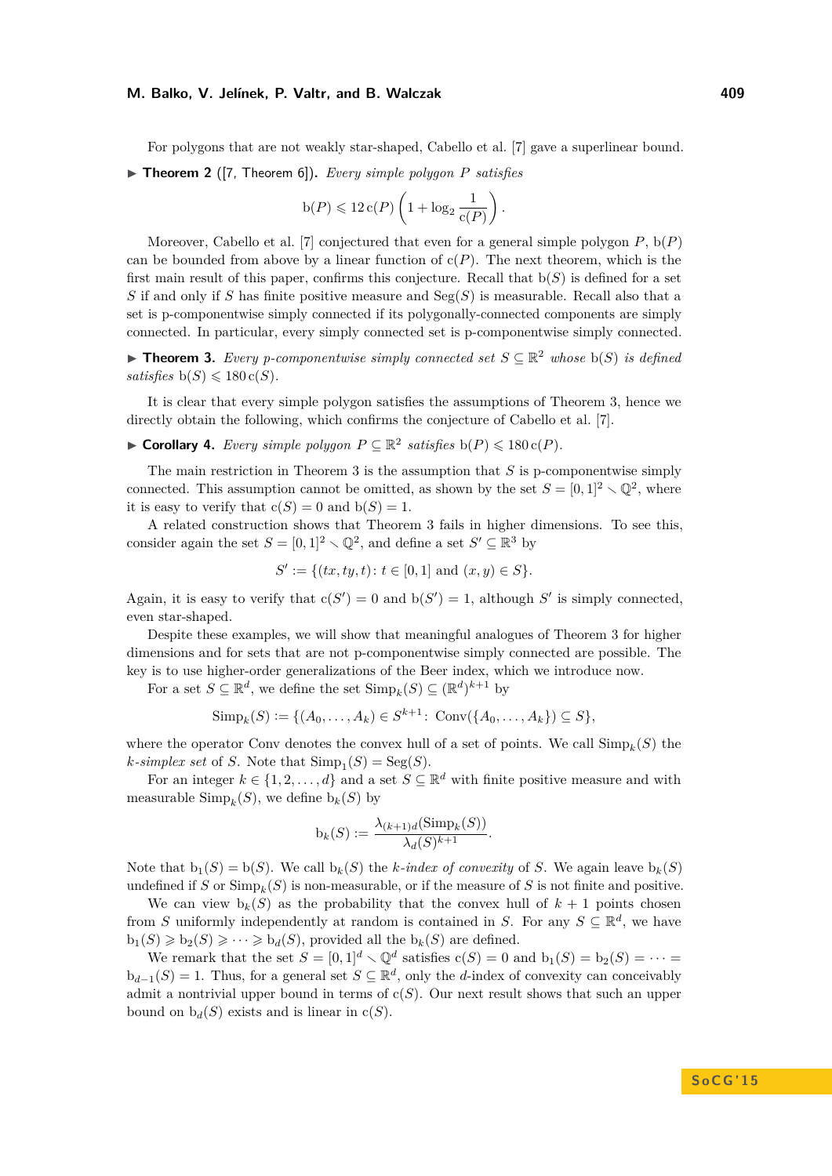For polygons that are not weakly star-shaped, Cabello et al. [\[7\]](#page-14-8) gave a superlinear bound.

▶ **Theorem 2** ([\[7,](#page-14-8) Theorem 6]). *Every simple polygon P satisfies* 

$$
b(P) \leqslant 12 c(P) \left(1 + \log_2 \frac{1}{c(P)}\right).
$$

Moreover, Cabello et al. [\[7\]](#page-14-8) conjectured that even for a general simple polygon *P*, b(*P*) can be bounded from above by a linear function of  $c(P)$ . The next theorem, which is the first main result of this paper, confirms this conjecture. Recall that  $b(S)$  is defined for a set *S* if and only if *S* has finite positive measure and Seg(*S*) is measurable. Recall also that a set is p-componentwise simply connected if its polygonally-connected components are simply connected. In particular, every simply connected set is p-componentwise simply connected.

<span id="page-3-0"></span>▶ **Theorem 3.** *Every p-componentwise simply connected set*  $S \subseteq \mathbb{R}^2$  *whose*  $b(S)$  *is defined satisfies*  $b(S) \le 180 c(S)$ .

It is clear that every simple polygon satisfies the assumptions of Theorem [3,](#page-3-0) hence we directly obtain the following, which confirms the conjecture of Cabello et al. [\[7\]](#page-14-8).

▶ **Corollary 4.** *Every simple polygon*  $P \subseteq \mathbb{R}^2$  *satisfies*  $b(P) \le 180 c(P)$ *.* 

The main restriction in Theorem [3](#page-3-0) is the assumption that *S* is p-componentwise simply connected. This assumption cannot be omitted, as shown by the set  $S = [0, 1]^2 \setminus \mathbb{Q}^2$ , where it is easy to verify that  $c(S) = 0$  and  $b(S) = 1$ .

A related construction shows that Theorem [3](#page-3-0) fails in higher dimensions. To see this, consider again the set  $S = [0, 1]^2 \setminus \mathbb{Q}^2$ , and define a set  $S' \subseteq \mathbb{R}^3$  by

$$
S' := \{(tx, ty, t) : t \in [0, 1] \text{ and } (x, y) \in S\}.
$$

Again, it is easy to verify that  $c(S') = 0$  and  $b(S') = 1$ , although S' is simply connected, even star-shaped.

Despite these examples, we will show that meaningful analogues of Theorem [3](#page-3-0) for higher dimensions and for sets that are not p-componentwise simply connected are possible. The key is to use higher-order generalizations of the Beer index, which we introduce now.

For a set  $S \subseteq \mathbb{R}^d$ , we define the set  $\text{Simp}_k(S) \subseteq (\mathbb{R}^d)^{k+1}$  by

$$
Simp_k(S) := \{ (A_0, \ldots, A_k) \in S^{k+1} \colon Conv(\{A_0, \ldots, A_k\}) \subseteq S \},
$$

where the operator Conv denotes the convex hull of a set of points. We call  $\text{Simp}_k(S)$  the  $k$ *-simplex set* of *S*. Note that  $\text{Simp}_1(S) = \text{Seg}(S)$ .

For an integer  $k \in \{1, 2, ..., d\}$  and a set  $S \subseteq \mathbb{R}^d$  with finite positive measure and with measurable  $\text{Simp}_k(S)$ , we define  $b_k(S)$  by

$$
b_k(S) := \frac{\lambda_{(k+1)d}(\text{Simp}_k(S))}{\lambda_d(S)^{k+1}}.
$$

Note that  $b_1(S) = b(S)$ . We call  $b_k(S)$  the *k*-index of convexity of *S*. We again leave  $b_k(S)$ undefined if *S* or  $\text{Simp}_k(S)$  is non-measurable, or if the measure of *S* is not finite and positive.

We can view  $b_k(S)$  as the probability that the convex hull of  $k+1$  points chosen from *S* uniformly independently at random is contained in *S*. For any  $S \subseteq \mathbb{R}^d$ , we have  $b_1(S) \geq b_2(S) \geq \cdots \geq b_d(S)$ , provided all the  $b_k(S)$  are defined.

We remark that the set  $S = [0,1]^d \setminus \mathbb{Q}^d$  satisfies  $c(S) = 0$  and  $b_1(S) = b_2(S) = \cdots$  $b_{d-1}(S) = 1$ . Thus, for a general set  $S \subseteq \mathbb{R}^d$ , only the *d*-index of convexity can conceivably admit a nontrivial upper bound in terms of  $c(S)$ . Our next result shows that such an upper bound on  $b_d(S)$  exists and is linear in  $c(S)$ .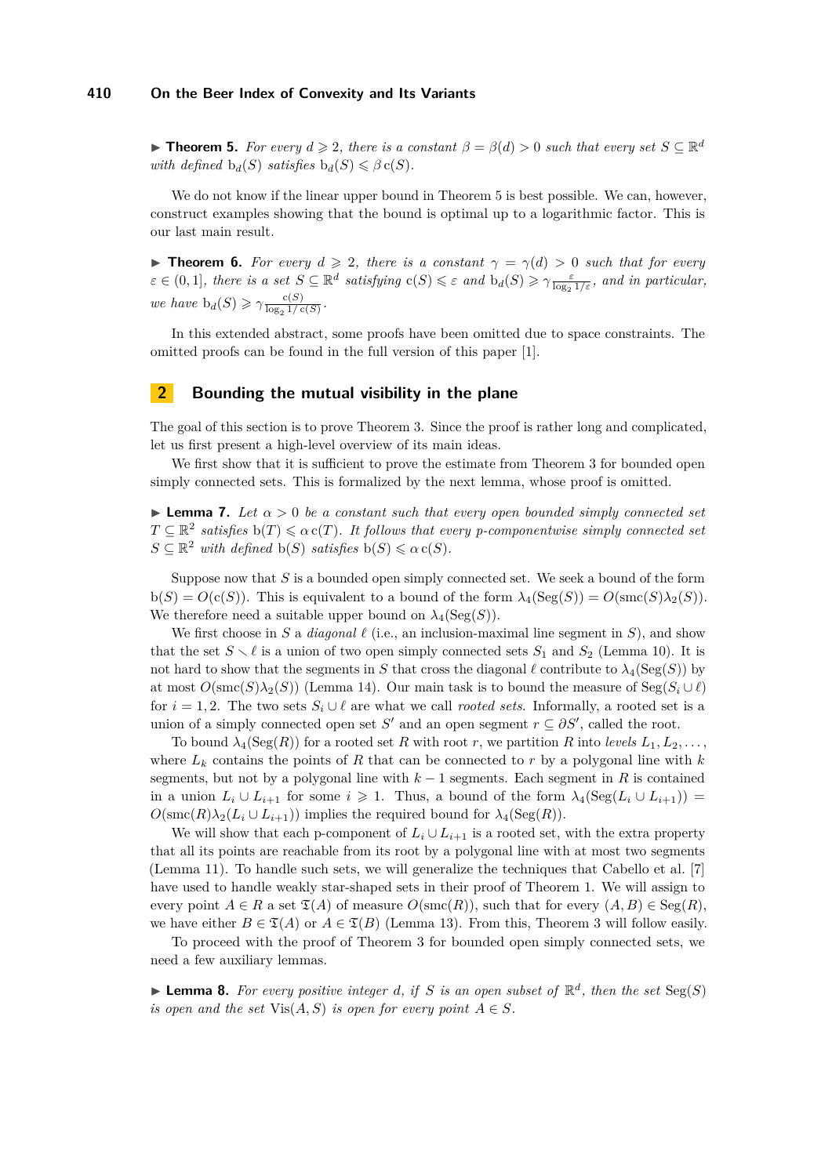### **410 On the Beer Index of Convexity and Its Variants**

<span id="page-4-0"></span>**► Theorem 5.** *For every*  $d \ge 2$ , *there is a constant*  $β = β(d) > 0$  *such that every set*  $S ⊆ ℝ<sup>d</sup>$ *with defined*  $b_d(S)$  *satisfies*  $b_d(S) \leq \beta c(S)$ *.* 

We do not know if the linear upper bound in Theorem [5](#page-4-0) is best possible. We can, however, construct examples showing that the bound is optimal up to a logarithmic factor. This is our last main result.

<span id="page-4-3"></span>**► Theorem 6.** For every  $d \ge 2$ , there is a constant  $\gamma = \gamma(d) > 0$  such that for every  $\varepsilon \in (0,1]$ , there is a set  $S \subseteq \mathbb{R}^d$  satisfying  $c(S) \leq \varepsilon$  and  $b_d(S) \geq \gamma \frac{\varepsilon}{\log_2 1/\varepsilon}$ , and in particular, *we have*  $b_d(S) \geq \gamma \frac{c(S)}{\log_2 1/s}$  $\frac{c(s)}{\log_2 1/c(S)}$ 

In this extended abstract, some proofs have been omitted due to space constraints. The omitted proofs can be found in the full version of this paper [\[1\]](#page-14-10).

# **2 Bounding the mutual visibility in the plane**

The goal of this section is to prove Theorem [3.](#page-3-0) Since the proof is rather long and complicated, let us first present a high-level overview of its main ideas.

We first show that it is sufficient to prove the estimate from Theorem [3](#page-3-0) for bounded open simply connected sets. This is formalized by the next lemma, whose proof is omitted.

<span id="page-4-2"></span>**Lemma 7.** *Let*  $\alpha > 0$  *be a constant such that every open bounded simply connected set*  $T \subseteq \mathbb{R}^2$  satisfies  $b(T) \leq a c(T)$ . It follows that every p-componentwise simply connected set  $S \subseteq \mathbb{R}^2$  *with defined*  $b(S)$  *satisfies*  $b(S) \leq \alpha c(S)$ *.* 

Suppose now that *S* is a bounded open simply connected set. We seek a bound of the form  $b(S) = O(c(S))$ . This is equivalent to a bound of the form  $\lambda_4(\text{Seg}(S)) = O(\text{smc}(S)\lambda_2(S))$ . We therefore need a suitable upper bound on  $\lambda_4(Seg(S))$ .

We first choose in *S* a *diagonal*  $\ell$  (i.e., an inclusion-maximal line segment in *S*), and show that the set  $S \setminus \ell$  is a union of two open simply connected sets  $S_1$  and  $S_2$  (Lemma [10\)](#page-5-0). It is not hard to show that the segments in *S* that cross the diagonal  $\ell$  contribute to  $\lambda_4(\text{Seg}(S))$  by at most  $O(\operatorname{smc}(S)\lambda_2(S))$  (Lemma [14\)](#page-10-0). Our main task is to bound the measure of  $\operatorname{Seg}(S_i \cup \ell)$ for  $i = 1, 2$ . The two sets  $S_i \cup \ell$  are what we call *rooted sets*. Informally, a rooted set is a union of a simply connected open set *S*<sup> $\prime$ </sup> and an open segment  $r \subseteq \partial S'$ , called the root.

To bound  $\lambda_4(Seg(R))$  for a rooted set R with root r, we partition R into *levels*  $L_1, L_2, \ldots$ where  $L_k$  contains the points of  $R$  that can be connected to  $r$  by a polygonal line with  $k$ segments, but not by a polygonal line with  $k-1$  segments. Each segment in R is contained in a union  $L_i \cup L_{i+1}$  for some  $i \geq 1$ . Thus, a bound of the form  $\lambda_4(\text{Seg}(L_i \cup L_{i+1}))$  $O(\operatorname{smc}(R)\lambda_2(L_i \cup L_{i+1}))$  implies the required bound for  $\lambda_4(\operatorname{Seg}(R)).$ 

We will show that each p-component of  $L_i \cup L_{i+1}$  is a rooted set, with the extra property that all its points are reachable from its root by a polygonal line with at most two segments (Lemma [11\)](#page-6-0). To handle such sets, we will generalize the techniques that Cabello et al. [\[7\]](#page-14-8) have used to handle weakly star-shaped sets in their proof of Theorem [1.](#page-2-2) We will assign to every point  $A \in R$  a set  $\mathfrak{T}(A)$  of measure  $O(\operatorname{smc}(R))$ , such that for every  $(A, B) \in \operatorname{Seg}(R)$ , we have either  $B \in \mathfrak{T}(A)$  or  $A \in \mathfrak{T}(B)$  (Lemma [13\)](#page-6-1). From this, Theorem [3](#page-3-0) will follow easily.

To proceed with the proof of Theorem [3](#page-3-0) for bounded open simply connected sets, we need a few auxiliary lemmas.

<span id="page-4-1"></span>**Example 8.** For every positive integer *d*, if *S* is an open subset of  $\mathbb{R}^d$ , then the set  $\text{Seg}(S)$ *is open and the set*  $Vis(A, S)$  *is open for every point*  $A \in S$ *.*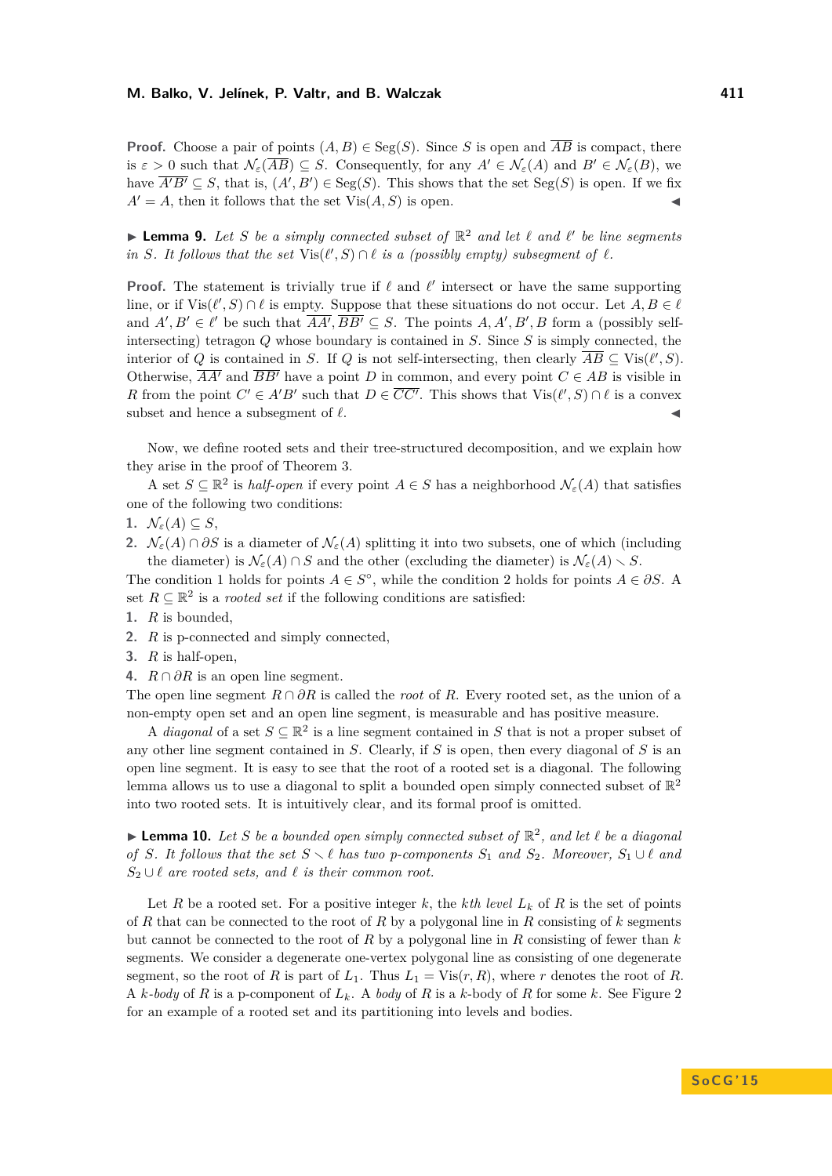**Proof.** Choose a pair of points  $(A, B) \in \text{Seg}(S)$ . Since *S* is open and  $\overline{AB}$  is compact, there is  $\varepsilon > 0$  such that  $\mathcal{N}_{\varepsilon}(\overline{AB}) \subseteq S$ . Consequently, for any  $A' \in \mathcal{N}_{\varepsilon}(A)$  and  $B' \in \mathcal{N}_{\varepsilon}(B)$ , we have  $\overline{A'B'} \subseteq S$ , that is,  $(A', B') \in \text{Seg}(S)$ . This shows that the set  $\text{Seg}(S)$  is open. If we fix  $A' = A$ , then it follows that the set  $Vis(A, S)$  is open.

<span id="page-5-3"></span>**Lemma 9.** Let S be a simply connected subset of  $\mathbb{R}^2$  and let  $\ell$  and  $\ell'$  be line segments *in S. It follows that the set*  $\text{Vis}(\ell', S) \cap \ell$  *is a (possibly empty) subsegment of*  $\ell$ *.* 

**Proof.** The statement is trivially true if  $\ell$  and  $\ell'$  intersect or have the same supporting line, or if  $\text{Vis}(\ell', S) \cap \ell$  is empty. Suppose that these situations do not occur. Let  $A, B \in \ell$ and  $A', B' \in \ell'$  be such that  $\overline{AA'}, \overline{BB'} \subseteq S$ . The points  $A, A', B', B$  form a (possibly selfintersecting) tetragon *Q* whose boundary is contained in *S*. Since *S* is simply connected, the interior of *Q* is contained in *S*. If *Q* is not self-intersecting, then clearly  $\overline{AB} \subseteq \text{Vis}(\ell', S)$ . Otherwise,  $\overline{AA'}$  and  $\overline{BB'}$  have a point *D* in common, and every point  $C \in AB$  is visible in *R* from the point  $C' \in A'B'$  such that  $D \in \overline{CC'}$ . This shows that  $\text{Vis}(\ell', S) \cap \ell$  is a convex subset and hence a subsegment of  $\ell$ .

Now, we define rooted sets and their tree-structured decomposition, and we explain how they arise in the proof of Theorem [3.](#page-3-0)

A set  $S \subseteq \mathbb{R}^2$  is *half-open* if every point  $A \in S$  has a neighborhood  $\mathcal{N}_{\varepsilon}(A)$  that satisfies one of the following two conditions:

- <span id="page-5-1"></span>1.  $\mathcal{N}_{\varepsilon}(A) \subseteq S$ ,
- <span id="page-5-2"></span>**2.**  $\mathcal{N}_{\varepsilon}(A) \cap \partial S$  is a diameter of  $\mathcal{N}_{\varepsilon}(A)$  splitting it into two subsets, one of which (including the diameter) is  $\mathcal{N}_{\varepsilon}(A) \cap S$  and the other (excluding the diameter) is  $\mathcal{N}_{\varepsilon}(A) \setminus S$ .

The condition [1](#page-5-1) holds for points  $A \in S^{\circ}$ , while the condition [2](#page-5-2) holds for points  $A \in \partial S$ . A set  $R \subseteq \mathbb{R}^2$  is a *rooted set* if the following conditions are satisfied:

- **1.** *R* is bounded,
- **2.** *R* is p-connected and simply connected,
- **3.** *R* is half-open,
- **4.**  $R \cap \partial R$  is an open line segment.

The open line segment  $R \cap \partial R$  is called the *root* of *R*. Every rooted set, as the union of a non-empty open set and an open line segment, is measurable and has positive measure.

A *diagonal* of a set  $S \subseteq \mathbb{R}^2$  is a line segment contained in S that is not a proper subset of any other line segment contained in *S*. Clearly, if *S* is open, then every diagonal of *S* is an open line segment. It is easy to see that the root of a rooted set is a diagonal. The following lemma allows us to use a diagonal to split a bounded open simply connected subset of  $\mathbb{R}^2$ into two rooted sets. It is intuitively clear, and its formal proof is omitted.

<span id="page-5-0"></span> $\blacktriangleright$  **Lemma 10.** Let *S* be a bounded open simply connected subset of  $\mathbb{R}^2$ , and let  $\ell$  be a diagonal *of S. It follows that the set*  $S \setminus \ell$  *has two p-components*  $S_1$  *and*  $S_2$ *. Moreover*,  $S_1 \cup \ell$  *and*  $S_2 \cup \ell$  *are rooted sets, and*  $\ell$  *is their common root.* 

Let R be a rooted set. For a positive integer k, the kth level  $L_k$  of R is the set of points of *R* that can be connected to the root of *R* by a polygonal line in *R* consisting of *k* segments but cannot be connected to the root of *R* by a polygonal line in *R* consisting of fewer than *k* segments. We consider a degenerate one-vertex polygonal line as consisting of one degenerate segment, so the root of *R* is part of  $L_1$ . Thus  $L_1 = \text{Vis}(r, R)$ , where *r* denotes the root of *R*. A *k-body* of *R* is a p-component of *Lk*. A *body* of *R* is a *k*-body of *R* for some *k*. See Figure [2](#page-6-2) for an example of a rooted set and its partitioning into levels and bodies.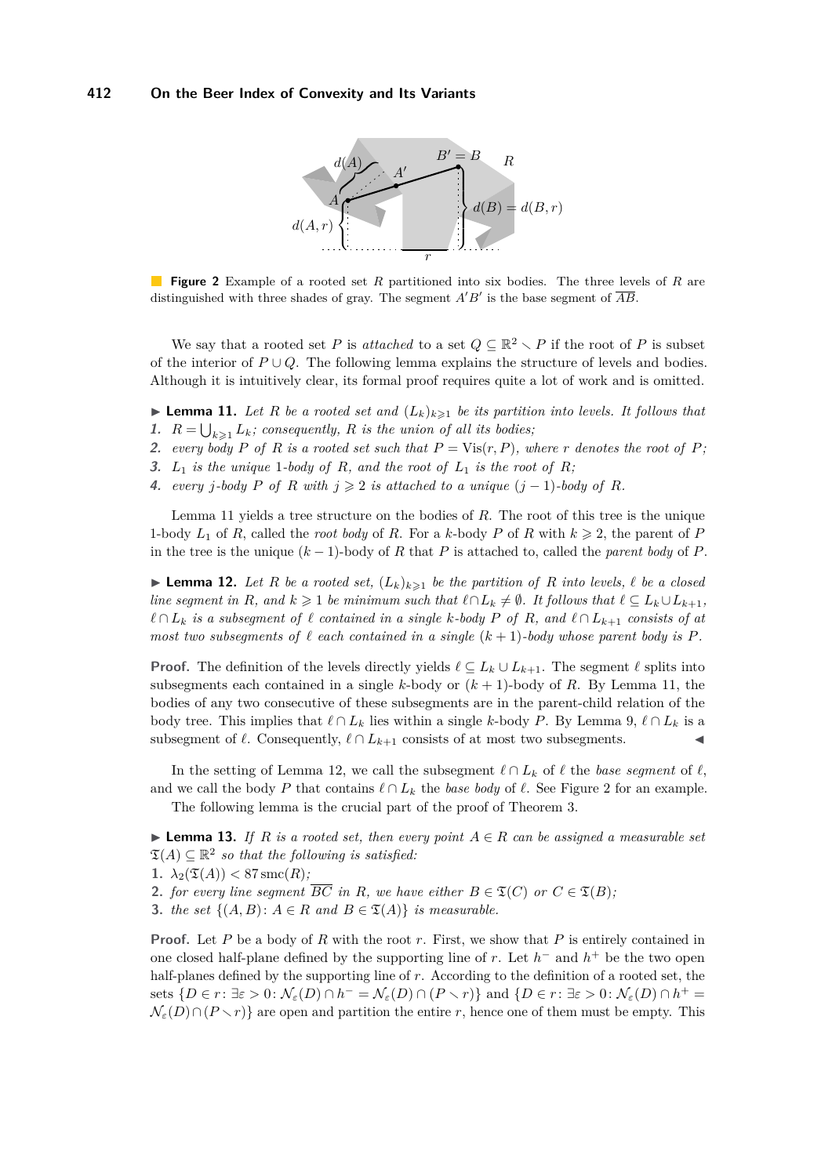<span id="page-6-2"></span>

**Figure 2** Example of a rooted set *R* partitioned into six bodies. The three levels of *R* are distinguished with three shades of gray. The segment  $A'B'$  is the base segment of  $\overline{AB}$ .

We say that a rooted set *P* is *attached* to a set  $Q \subseteq \mathbb{R}^2 \setminus P$  if the root of *P* is subset of the interior of  $P \cup Q$ . The following lemma explains the structure of levels and bodies. Although it is intuitively clear, its formal proof requires quite a lot of work and is omitted.

<span id="page-6-0"></span>**Lemma 11.** Let R be a rooted set and  $(L_k)_{k\geq 1}$  be its partition into levels. It follows that **1.**  $R = \bigcup_{k \geq 1} L_k$ ; consequently, R is the union of all its bodies;

**2.** every body P of R is a rooted set such that  $P = \text{Vis}(r, P)$ , where r denotes the root of P;

**3.**  $L_1$  *is the unique* 1*-body of*  $R$ *, and the root of*  $L_1$  *is the root of*  $R$ *;* 

**4.** *every j*<sup>*-body*</sub> *P of R with*  $j ≥ 2$  *is attached to a unique*  $(j - 1)$ *-body of R.*</sup>

Lemma [11](#page-6-0) yields a tree structure on the bodies of *R*. The root of this tree is the unique 1-body  $L_1$  of  $R$ , called the *root body* of  $R$ . For a  $k$ -body  $P$  of  $R$  with  $k \geqslant 2$ , the parent of  $P$ in the tree is the unique  $(k-1)$ -body of *R* that *P* is attached to, called the *parent body* of *P*.

<span id="page-6-3"></span>**Lemma 12.** Let R be a rooted set,  $(L_k)_{k\geq 1}$  be the partition of R into levels,  $\ell$  be a closed *line segment in R, and*  $k \geq 1$  *be minimum such that*  $\ell \cap L_k \neq \emptyset$ *. It follows that*  $\ell \subseteq L_k \cup L_{k+1}$ *,*  $\ell$  ∩  $L_k$  *is a subsegment of*  $\ell$  *contained in a single*  $k$ *-body*  $P$  *of*  $R$ *, and*  $\ell$  ∩  $L_{k+1}$  *consists of at most two subsegments of*  $\ell$  *each contained in a single*  $(k+1)$ *-body whose parent body is*  $P$ *.* 

**Proof.** The definition of the levels directly yields  $\ell \subseteq L_k \cup L_{k+1}$ . The segment  $\ell$  splits into subsegments each contained in a single *k*-body or  $(k + 1)$ -body of *R*. By Lemma [11,](#page-6-0) the bodies of any two consecutive of these subsegments are in the parent-child relation of the body tree. This implies that  $\ell \cap L_k$  lies within a single *k*-body *P*. By Lemma [9,](#page-5-3)  $\ell \cap L_k$  is a subsegment of  $\ell$ . Consequently,  $\ell \cap L_{k+1}$  consists of at most two subsegments.

In the setting of Lemma [12,](#page-6-3) we call the subsegment  $\ell \cap L_k$  of  $\ell$  the *base segment* of  $\ell$ , and we call the body *P* that contains  $\ell \cap L_k$  the *base body* of  $\ell$ . See Figure [2](#page-6-2) for an example.

The following lemma is the crucial part of the proof of Theorem [3.](#page-3-0)

<span id="page-6-1"></span>**► Lemma 13.** *If R is a rooted set, then every point*  $A \in R$  *can be assigned a measurable set*  $\mathfrak{T}(A) \subseteq \mathbb{R}^2$  so that the following is satisfied:

**1.**  $\lambda_2(\mathfrak{T}(A)) < 87$  smc(*R*);

**2.** *for every line segment*  $\overline{BC}$  *in R*, *we have either*  $B \in \mathfrak{T}(C)$  *or*  $C \in \mathfrak{T}(B)$ *;* 

**3.** *the set*  $\{(A, B): A \in R \text{ and } B \in \mathfrak{T}(A)\}$  *is measurable.* 

**Proof.** Let *P* be a body of *R* with the root *r*. First, we show that *P* is entirely contained in one closed half-plane defined by the supporting line of *r*. Let  $h^-$  and  $h^+$  be the two open half-planes defined by the supporting line of *r*. According to the definition of a rooted set, the sets  $\{D \in r : \exists \varepsilon > 0: \mathcal{N}_{\varepsilon}(D) \cap h^{-} = \mathcal{N}_{\varepsilon}(D) \cap (P \setminus r)\}\$  and  $\{D \in r : \exists \varepsilon > 0: \mathcal{N}_{\varepsilon}(D) \cap h^{+} =$  $\mathcal{N}_{\varepsilon}(D) \cap (P \setminus r)$  are open and partition the entire *r*, hence one of them must be empty. This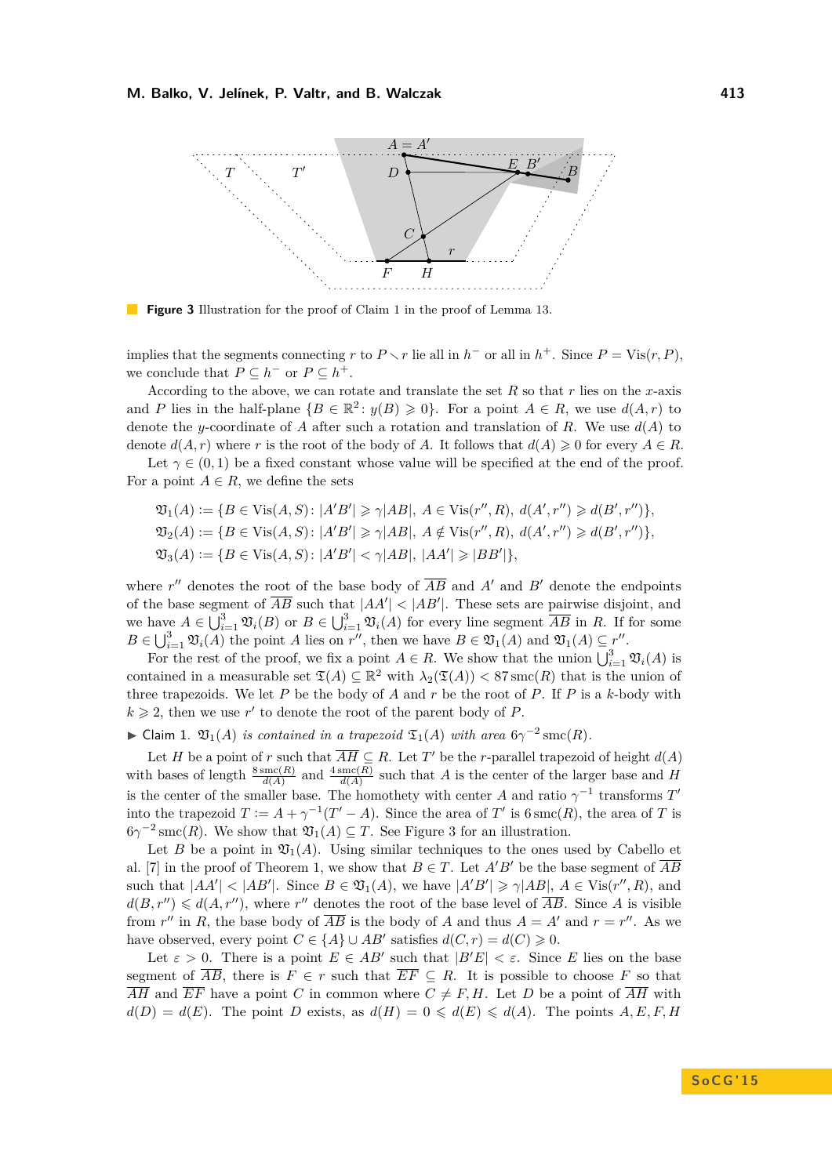<span id="page-7-1"></span>

**Figure 3** Illustration for the proof of Claim [1](#page-7-0) in the proof of Lemma [13.](#page-6-1)

implies that the segments connecting *r* to  $P \setminus r$  lie all in  $h^-$  or all in  $h^+$ . Since  $P = \text{Vis}(r, P)$ , we conclude that  $P \subseteq h^-$  or  $P \subseteq h^+$ .

According to the above, we can rotate and translate the set *R* so that *r* lies on the *x*-axis and *P* lies in the half-plane  ${B \in \mathbb{R}^2 : y(B) \ge 0}$ . For a point  $A \in R$ , we use  $d(A, r)$  to denote the *y*-coordinate of *A* after such a rotation and translation of *R*. We use  $d(A)$  to denote  $d(A, r)$  where r is the root of the body of A. It follows that  $d(A) \geq 0$  for every  $A \in R$ .

Let  $\gamma \in (0,1)$  be a fixed constant whose value will be specified at the end of the proof. For a point  $A \in R$ , we define the sets

$$
\mathfrak{V}_1(A) := \{ B \in \text{Vis}(A, S) : |A'B'| \ge \gamma |AB|, A \in \text{Vis}(r'', R), d(A', r'') \ge d(B', r'') \},
$$
  

$$
\mathfrak{V}_2(A) := \{ B \in \text{Vis}(A, S) : |A'B'| \ge \gamma |AB|, A \notin \text{Vis}(r'', R), d(A', r'') \ge d(B', r'') \},
$$
  

$$
\mathfrak{V}_3(A) := \{ B \in \text{Vis}(A, S) : |A'B'| < \gamma |AB|, |AA'| \ge |BB'| \},
$$

where  $r''$  denotes the root of the base body of  $\overline{AB}$  and  $A'$  and  $B'$  denote the endpoints of the base segment of  $\overline{AB}$  such that  $|AA'| < |AB'|$ . These sets are pairwise disjoint, and we have  $A \in \bigcup_{i=1}^{3} \mathfrak{V}_i(B)$  or  $B \in \bigcup_{i=1}^{3} \mathfrak{V}_i(A)$  for every line segment  $\overline{AB}$  in *R*. If for some  $B \in \bigcup_{i=1}^3 \mathfrak{V}_i(A)$  the point *A* lies on *r*<sup>n</sup>, then we have  $B \in \mathfrak{V}_1(A)$  and  $\mathfrak{V}_1(A) \subseteq \gamma^n$ .

For the rest of the proof, we fix a point  $A \in R$ . We show that the union  $\bigcup_{i=1}^{3} \mathfrak{V}_i(A)$  is contained in a measurable set  $\mathfrak{T}(A) \subseteq \mathbb{R}^2$  with  $\lambda_2(\mathfrak{T}(A)) < 87$  smc $(R)$  that is the union of three trapezoids. We let *P* be the body of *A* and *r* be the root of *P*. If *P* is a *k*-body with  $k \geq 2$ , then we use r' to denote the root of the parent body of P.

<span id="page-7-0"></span>► Claim 1.  $\mathfrak{V}_1(A)$  *is contained in a trapezoid*  $\mathfrak{T}_1(A)$  *with area*  $6\gamma^{-2}$  smc $(R)$ *.* 

Let *H* be a point of *r* such that  $\overline{AH} \subseteq R$ . Let *T'* be the *r*-parallel trapezoid of height  $d(A)$ with bases of length  $\frac{8 \operatorname{smc}(R)}{d(A)}$  and  $\frac{4 \operatorname{smc}(R)}{d(A)}$  such that *A* is the center of the larger base and *H* is the center of the smaller base. The homothety with center *A* and ratio  $\gamma^{-1}$  transforms  $T'$ into the trapezoid  $T := A + \gamma^{-1}(T' - A)$ . Since the area of  $T'$  is  $6 \operatorname{smc}(R)$ , the area of  $T$  is  $6\gamma^{-2}$  smc(*R*). We show that  $\mathfrak{V}_1(A) \subseteq T$ . See Figure [3](#page-7-1) for an illustration.

Let *B* be a point in  $\mathfrak{V}_1(A)$ . Using similar techniques to the ones used by Cabello et al. [\[7\]](#page-14-8) in the proof of Theorem [1,](#page-2-2) we show that  $B \in T$ . Let  $A'B'$  be the base segment of  $\overline{AB}$ such that  $|AA'| < |AB'|$ . Since  $B \in \mathfrak{V}_1(A)$ , we have  $|A'B'| \ge \gamma |AB|$ ,  $A \in \text{Vis}(r'',R)$ , and  $d(B, r'') \leq d(A, r'')$ , where r'' denotes the root of the base level of  $\overline{AB}$ . Since *A* is visible from  $r''$  in *R*, the base body of  $\overline{AB}$  is the body of *A* and thus  $A = A'$  and  $r = r''$ . As we have observed, every point  $C \in \{A\} \cup AB'$  satisfies  $d(C, r) = d(C) \geq 0$ .

Let  $\varepsilon > 0$ . There is a point  $E \in AB'$  such that  $|B'E| < \varepsilon$ . Since *E* lies on the base segment of  $\overline{AB}$ , there is  $F \in r$  such that  $\overline{EF} \subseteq R$ . It is possible to choose F so that  $\overline{AH}$  and  $\overline{EF}$  have a point *C* in common where  $C \neq F, H$ . Let *D* be a point of  $\overline{AH}$  with  $d(D) = d(E)$ . The point *D* exists, as  $d(H) = 0 \leq d(E) \leq d(A)$ . The points *A, E, F, H*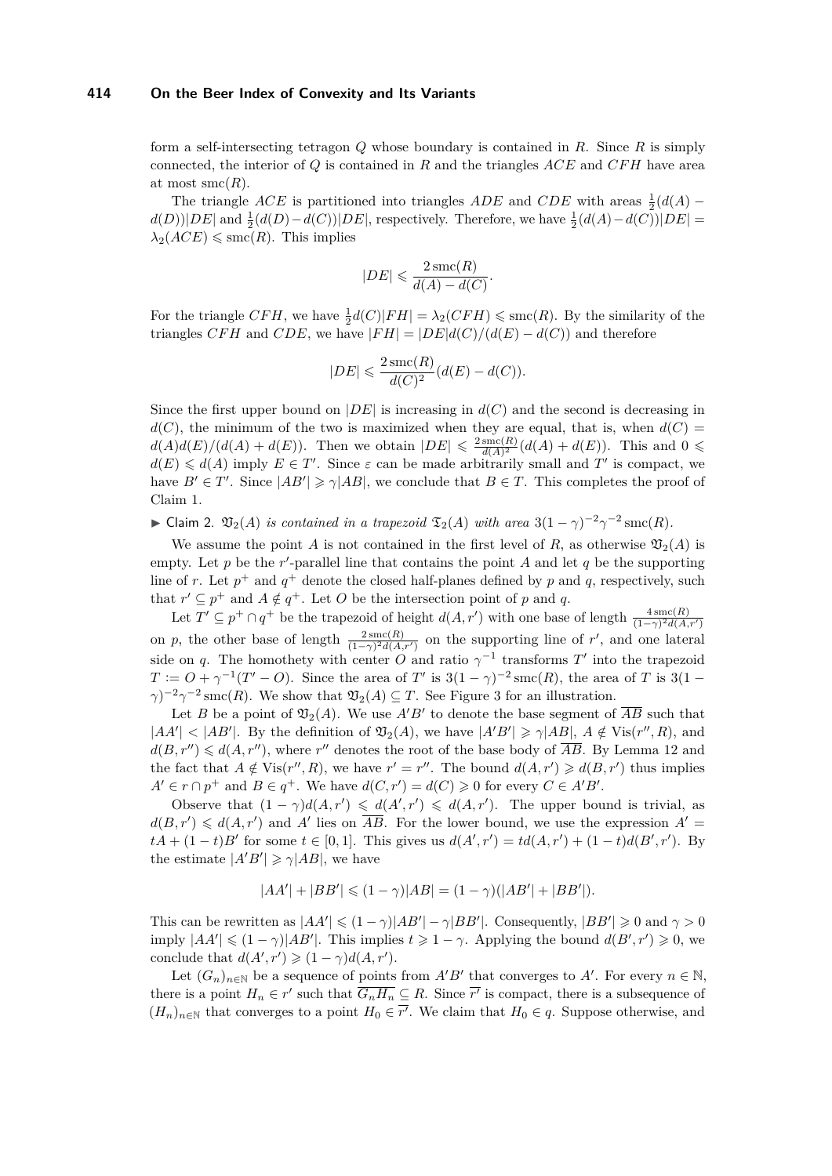### **414 On the Beer Index of Convexity and Its Variants**

form a self-intersecting tetragon *Q* whose boundary is contained in *R*. Since *R* is simply connected, the interior of *Q* is contained in *R* and the triangles *ACE* and *CFH* have area at most  $smc(R)$ .

The triangle *ACE* is partitioned into triangles *ADE* and *CDE* with areas  $\frac{1}{2}(d(A)$  $d(D)|DE|$  and  $\frac{1}{2}(d(D) - d(C))|DE|$ , respectively. Therefore, we have  $\frac{1}{2}(d(A) - d(C))|DE|$  $\lambda_2(ACE) \leqslant \text{smc}(R)$ . This implies

$$
|DE| \leqslant \frac{2\operatorname{smc}(R)}{d(A) - d(C)}.
$$

For the triangle  $CFH$ , we have  $\frac{1}{2}d(C)|FH| = \lambda_2(CFH) \leq \text{smc}(R)$ . By the similarity of the triangles *CFH* and *CDE*, we have  $|FH| = |DE|d(C)/(d(E) - d(C))$  and therefore

$$
|DE| \leqslant \frac{2\operatorname{smc}(R)}{d(C)^2} (d(E) - d(C)).
$$

Since the first upper bound on  $|DE|$  is increasing in  $d(C)$  and the second is decreasing in  $d(C)$ , the minimum of the two is maximized when they are equal, that is, when  $d(C)$  $d(A)d(E)/(d(A) + d(E)).$  Then we obtain  $|DE| \leq \frac{2 \text{ smc}(R)}{d(A)^2}$  $\frac{\operatorname{smc}(R)}{d(A)^2}(d(A) + d(E)).$  This and  $0 \leq$  $d(E) \le d(A)$  imply  $E \in T'$ . Since  $\varepsilon$  can be made arbitrarily small and T' is compact, we have  $B' \in T'$ . Since  $|AB'| \ge \gamma |AB|$ , we conclude that  $B \in T$ . This completes the proof of Claim [1.](#page-7-0)

<span id="page-8-0"></span>► Claim 2.  $\mathfrak{V}_2(A)$  *is contained in a trapezoid*  $\mathfrak{T}_2(A)$  *with area*  $3(1 - \gamma)^{-2}\gamma^{-2}$  smc $(R)$ *.* 

We assume the point *A* is not contained in the first level of *R*, as otherwise  $\mathfrak{V}_2(A)$  is empty. Let  $p$  be the  $r'$ -parallel line that contains the point  $A$  and let  $q$  be the supporting line of *r*. Let  $p^+$  and  $q^+$  denote the closed half-planes defined by *p* and *q*, respectively, such that  $r' \subseteq p^+$  and  $A \notin q^+$ . Let *O* be the intersection point of *p* and *q*.

Let  $T' \subseteq p^+ \cap q^+$  be the trapezoid of height  $d(A, r')$  with one base of length  $\frac{4 \operatorname{smc}(R)}{(1-\gamma)^2 d(A, r')}$ on *p*, the other base of length  $\frac{2 \operatorname{smc}(R)}{(1-\gamma)^2 d(A,r')}$  on the supporting line of *r'*, and one lateral side on *q*. The homothety with center *O* and ratio  $\gamma^{-1}$  transforms *T'* into the trapezoid  $T := O + \gamma^{-1}(T' - O)$ . Since the area of *T*' is 3(1 −  $\gamma$ )<sup>-2</sup> smc(*R*), the area of *T* is 3(1 −  $\gamma$ <sup> $-2$ </sup> $\gamma$ <sup> $-2$ </sup> smc(*R*). We show that  $\mathfrak{V}_2(A) \subseteq T$ . See Figure [3](#page-7-1) for an illustration.

Let *B* be a point of  $\mathfrak{V}_2(A)$ . We use  $A'B'$  to denote the base segment of  $\overline{AB}$  such that  $|AA'| < |AB'|$ . By the definition of  $\mathfrak{V}_2(A)$ , we have  $|A'B'| \ge \gamma |AB|$ ,  $A \notin \text{Vis}(r'',R)$ , and  $d(B, r'') \leq d(A, r'')$ , where  $r''$  denotes the root of the base body of  $\overline{AB}$ . By Lemma [12](#page-6-3) and the fact that  $A \notin \text{Vis}(r'', R)$ , we have  $r' = r''$ . The bound  $d(A, r') \geq d(B, r')$  thus implies  $A' \in r \cap p^+$  and  $B \in q^+$ . We have  $d(C, r') = d(C) \geq 0$  for every  $C \in A'B'$ .

Observe that  $(1 - \gamma)d(A, r') \leq d(A', r') \leq d(A, r')$ . The upper bound is trivial, as  $d(B, r') \le d(A, r')$  and *A'* lies on  $\overline{AB}$ . For the lower bound, we use the expression  $A' =$  $tA + (1-t)B'$  for some  $t \in [0,1]$ . This gives us  $d(A', r') = td(A, r') + (1-t)d(B', r')$ . By the estimate  $|A'B'| \ge \gamma |AB|$ , we have

$$
|AA'| + |BB'| \leq (1 - \gamma)|AB| = (1 - \gamma)(|AB'| + |BB'|).
$$

This can be rewritten as  $|AA'| \leq (1 - \gamma)|AB'| - \gamma|BB'|$ . Consequently,  $|BB'| \geq 0$  and  $\gamma > 0$  $\text{imply } |AA'| \leq (1 - \gamma)|AB'|$ . This implies  $t \geq 1 - \gamma$ . Applying the bound  $d(B', r') \geq 0$ , we conclude that  $d(A', r') \geq (1 - \gamma)d(A, r').$ 

Let  $(G_n)_{n\in\mathbb{N}}$  be a sequence of points from  $A'B'$  that converges to  $A'$ . For every  $n \in \mathbb{N}$ , there is a point  $H_n \in r'$  such that  $\overline{G_nH_n} \subseteq R$ . Since  $\overline{r'}$  is compact, there is a subsequence of  $(H_n)_{n\in\mathbb{N}}$  that converges to a point  $H_0 \in \overline{r'}$ . We claim that  $H_0 \in q$ . Suppose otherwise, and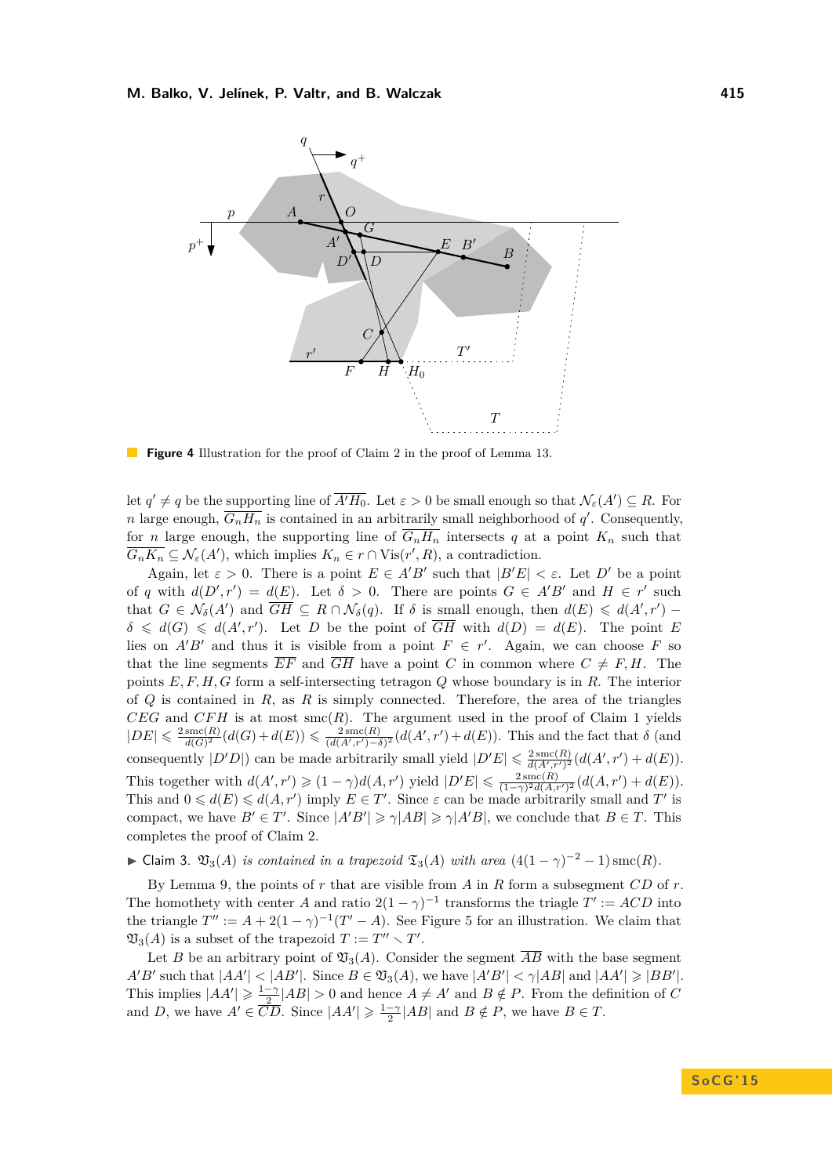

**Figure 4** Illustration for the proof of Claim [2](#page-8-0) in the proof of Lemma [13.](#page-6-1)

let  $q' \neq q$  be the supporting line of  $\overline{A'H_0}$ . Let  $\varepsilon > 0$  be small enough so that  $\mathcal{N}_{\varepsilon}(A') \subseteq R$ . For *n* large enough,  $\overline{G_nH_n}$  is contained in an arbitrarily small neighborhood of  $q'$ . Consequently, for *n* large enough, the supporting line of  $\overline{G_nH_n}$  intersects *q* at a point  $K_n$  such that  $\overline{G_nK_n} \subseteq \mathcal{N}_{\varepsilon}(A')$ , which implies  $K_n \in r \cap \text{Vis}(r',R)$ , a contradiction.

Again, let  $\varepsilon > 0$ . There is a point  $E \in A'B'$  such that  $|B'E| < \varepsilon$ . Let *D'* be a point of *q* with  $d(D', r') = d(E)$ . Let  $\delta > 0$ . There are points  $G \in A'B'$  and  $H \in r'$  such that  $G \in \mathcal{N}_{\delta}(A')$  and  $\overline{GH} \subseteq R \cap \mathcal{N}_{\delta}(q)$ . If  $\delta$  is small enough, then  $d(E) \leq d(A', r') \delta \leq d(G) \leq d(A', r')$ . Let *D* be the point of  $\overline{GH}$  with  $d(D) = d(E)$ . The point *E* lies on  $A'B'$  and thus it is visible from a point  $F \in r'$ . Again, we can choose *F* so that the line segments  $\overline{EF}$  and  $\overline{GH}$  have a point *C* in common where  $C \neq F, H$ . The points *E, F, H, G* form a self-intersecting tetragon *Q* whose boundary is in *R*. The interior of *Q* is contained in *R*, as *R* is simply connected. Therefore, the area of the triangles  $CEG$  and  $CFH$  is at most smc $(R)$ . The argument used in the proof of Claim [1](#page-7-0) yields  $|DE| \leqslant \frac{2 \operatorname{smc}(R)}{d(G)^2}$  $\frac{\text{smc}(R)}{d(G)^2}(d(G) + d(E)) \leq \frac{2 \text{smc}(R)}{(d(A',r') - \delta)^2}(d(A',r') + d(E)).$  This and the fact that  $\delta$  (and consequently  $|D'D|$  can be made arbitrarily small yield  $|D'E| \leq \frac{2 \operatorname{smc}(R)}{d(A',r')^2} (d(A',r') + d(E)).$ This together with  $d(A', r') \geq (1 - \gamma)d(A, r')$  yield  $|D'E| \leq \frac{2 \operatorname{smc}(R)}{(1 - \gamma)^2 d(A, r')}$  $\frac{2 \operatorname{smc}(R)}{(1-\gamma)^2 d(A,r')^2} (d(A,r') + d(E)).$ This and  $0 \le d(E) \le d(A, r')$  imply  $E \in T'$ . Since  $\varepsilon$  can be made arbitrarily small and  $T'$  is compact, we have  $B' \in T'$ . Since  $|A'B'| \ge \gamma |AB| \ge \gamma |A'B|$ , we conclude that  $B \in T$ . This completes the proof of Claim [2.](#page-8-0)

<span id="page-9-0"></span>► Claim 3.  $\mathfrak{V}_3(A)$  *is contained in a trapezoid*  $\mathfrak{T}_3(A)$  *with area*  $(4(1 - \gamma)^{-2} - 1)\text{smc}(R)$ *.* 

By Lemma [9,](#page-5-3) the points of *r* that are visible from *A* in *R* form a subsegment *CD* of *r*. The homothety with center *A* and ratio  $2(1 - \gamma)^{-1}$  transforms the triagle  $T' := ACD$  into the triangle  $T'' := A + 2(1 - \gamma)^{-1}(T' - A)$ . See Figure [5](#page-10-1) for an illustration. We claim that  $\mathfrak{V}_3(A)$  is a subset of the trapezoid  $T := T'' \setminus T'$ .

Let *B* be an arbitrary point of  $\mathfrak{V}_3(A)$ . Consider the segment  $\overline{AB}$  with the base segment  $A'B'$  such that  $|AA'| < |AB'|$ . Since  $B \in \mathfrak{V}_3(A)$ , we have  $|A'B'| < |\gamma|AB|$  and  $|AA'| \geq |BB'|$ . This implies  $|AA'| \geq \frac{1-\gamma}{2}|AB| > 0$  and hence  $A \neq A'$  and  $B \notin P$ . From the definition of *C* and *D*, we have  $A' \in \overline{CD}$ . Since  $|AA'| \geq \frac{1-\gamma}{2} |AB|$  and  $B \notin P$ , we have  $B \in T$ .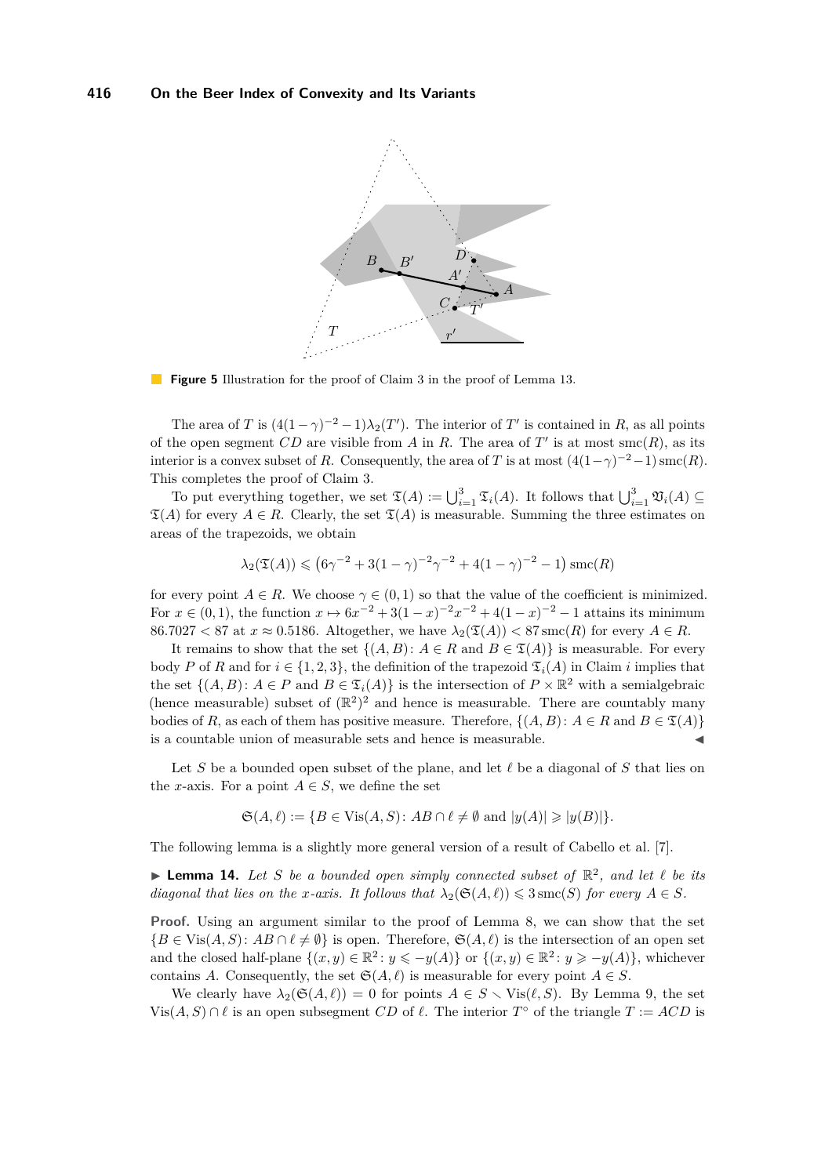<span id="page-10-1"></span>

**Figure 5** Illustration for the proof of Claim [3](#page-9-0) in the proof of Lemma [13.](#page-6-1)

The area of *T* is  $(4(1-\gamma)^{-2}-1)\lambda_2(T')$ . The interior of *T*<sup>'</sup> is contained in *R*, as all points of the open segment  $CD$  are visible from A in R. The area of  $T'$  is at most smc $(R)$ , as its interior is a convex subset of *R*. Consequently, the area of *T* is at most  $(4(1-\gamma)^{-2}-1)$  smc $(R)$ . This completes the proof of Claim [3.](#page-9-0)

To put everything together, we set  $\mathfrak{T}(A) := \bigcup_{i=1}^3 \mathfrak{T}_i(A)$ . It follows that  $\bigcup_{i=1}^3 \mathfrak{V}_i(A) \subseteq$  $\mathfrak{T}(A)$  for every  $A \in R$ . Clearly, the set  $\mathfrak{T}(A)$  is measurable. Summing the three estimates on areas of the trapezoids, we obtain

$$
\lambda_2(\mathfrak{T}(A)) \leqslant (6\gamma^{-2} + 3(1 - \gamma)^{-2}\gamma^{-2} + 4(1 - \gamma)^{-2} - 1)\operatorname{smc}(R)
$$

for every point  $A \in R$ . We choose  $\gamma \in (0,1)$  so that the value of the coefficient is minimized. For  $x \in (0,1)$ , the function  $x \mapsto 6x^{-2} + 3(1-x)^{-2}x^{-2} + 4(1-x)^{-2} - 1$  attains its minimum  $86.7027 < 87$  at  $x \approx 0.5186$ . Altogether, we have  $\lambda_2(\mathfrak{T}(A)) < 87$  smc(*R*) for every  $A \in R$ .

It remains to show that the set  $\{(A, B): A \in R \text{ and } B \in \mathfrak{T}(A)\}$  is measurable. For every body *P* of *R* and for  $i \in \{1, 2, 3\}$ , the definition of the trapezoid  $\mathfrak{T}_i(A)$  in Claim *i* implies that the set  $\{(A, B): A \in P \text{ and } B \in \mathfrak{T}_i(A)\}$  is the intersection of  $P \times \mathbb{R}^2$  with a semialgebraic (hence measurable) subset of  $(\mathbb{R}^2)^2$  and hence is measurable. There are countably many bodies of *R*, as each of them has positive measure. Therefore,  $\{(A, B): A \in R \text{ and } B \in \mathfrak{T}(A)\}\$ is a countable union of measurable sets and hence is measurable.

Let S be a bounded open subset of the plane, and let  $\ell$  be a diagonal of S that lies on the *x*-axis. For a point  $A \in S$ , we define the set

$$
\mathfrak{S}(A,\ell) := \{ B \in \text{Vis}(A,S) : AB \cap \ell \neq \emptyset \text{ and } |y(A)| \geq |y(B)| \}.
$$

The following lemma is a slightly more general version of a result of Cabello et al. [\[7\]](#page-14-8).

<span id="page-10-0"></span> $\blacktriangleright$  **Lemma 14.** Let *S* be a bounded open simply connected subset of  $\mathbb{R}^2$ , and let  $\ell$  be its *diagonal that lies on the x-axis. It follows that*  $\lambda_2(\mathfrak{S}(A, \ell)) \leqslant 3 \text{smc}(S)$  *for every*  $A \in S$ *.* 

**Proof.** Using an argument similar to the proof of Lemma [8,](#page-4-1) we can show that the set  ${B \in \text{Vis}(A, S) : AB \cap \ell \neq \emptyset}$  is open. Therefore,  $\mathfrak{S}(A, \ell)$  is the intersection of an open set and the closed half-plane  $\{(x, y) \in \mathbb{R}^2 : y \leq -y(A)\}$  or  $\{(x, y) \in \mathbb{R}^2 : y \geq -y(A)\}$ , whichever contains *A*. Consequently, the set  $\mathfrak{S}(A, \ell)$  is measurable for every point  $A \in S$ .

We clearly have  $\lambda_2(\mathfrak{S}(A, \ell)) = 0$  for points  $A \in S \setminus \text{Vis}(\ell, S)$ . By Lemma [9,](#page-5-3) the set  $Vis(A, S) ∩ ℓ$  is an open subsegment *CD* of  $ℓ$ . The interior  $T^{\circ}$  of the triangle  $T := ACD$  is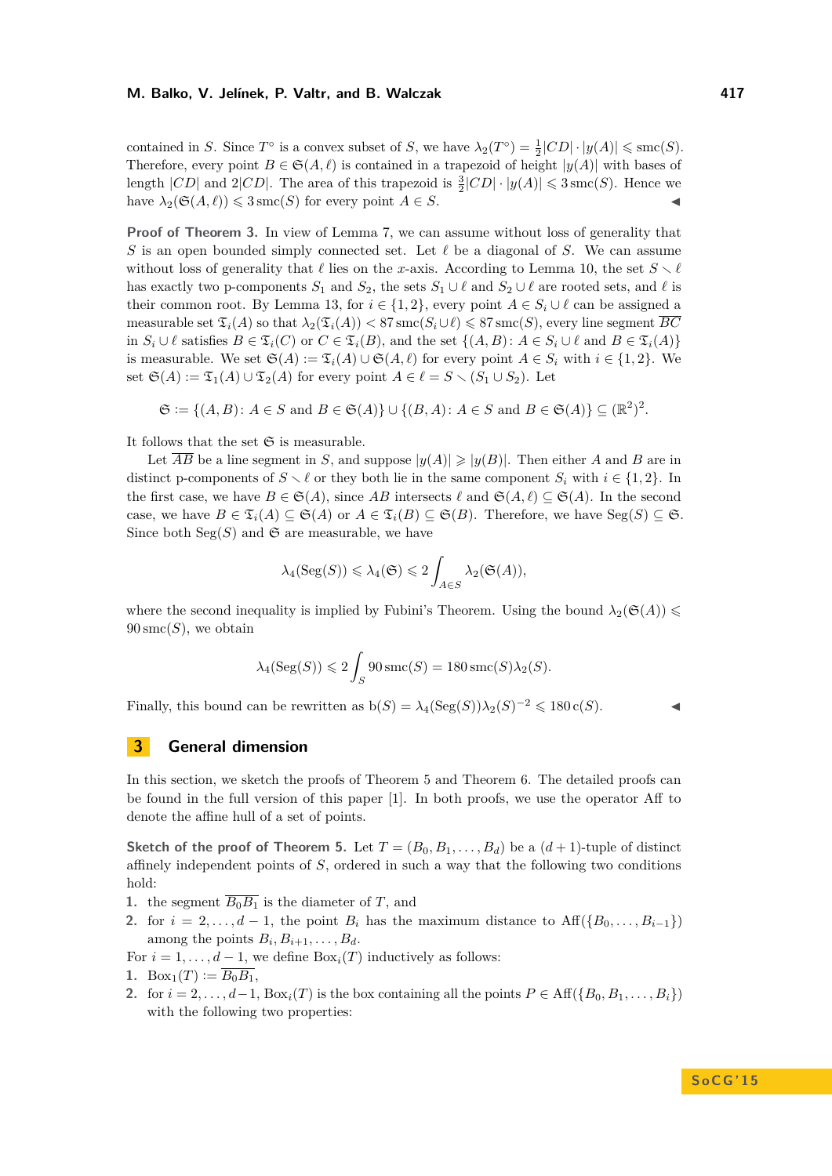contained in *S*. Since  $T^{\circ}$  is a convex subset of *S*, we have  $\lambda_2(T^{\circ}) = \frac{1}{2}|CD| \cdot |y(A)| \leq \text{smc}(S)$ . Therefore, every point  $B \in \mathfrak{S}(A, \ell)$  is contained in a trapezoid of height  $|y(A)|$  with bases of length  $|CD|$  and  $2|CD|$ . The area of this trapezoid is  $\frac{3}{2}|CD| \cdot |y(A)| \leq 3$  smc(*S*). Hence we have  $\lambda_2(\mathfrak{S}(A, \ell)) \leq 3$  smc $(S)$  for every point  $A \in S$ .

**Proof of Theorem [3.](#page-3-0)** In view of Lemma [7,](#page-4-2) we can assume without loss of generality that *S* is an open bounded simply connected set. Let  $\ell$  be a diagonal of *S*. We can assume without loss of generality that  $\ell$  lies on the *x*-axis. According to Lemma [10,](#page-5-0) the set  $S \setminus \ell$ has exactly two p-components  $S_1$  and  $S_2$ , the sets  $S_1 \cup \ell$  and  $S_2 \cup \ell$  are rooted sets, and  $\ell$  is their common root. By Lemma [13,](#page-6-1) for  $i \in \{1, 2\}$ , every point  $A \in S_i \cup \ell$  can be assigned a measurable set  $\mathfrak{T}_i(A)$  so that  $\lambda_2(\mathfrak{T}_i(A)) < 87 \operatorname{smc}(S_i \cup \ell) \leq 87 \operatorname{smc}(S)$ , every line segment  $\overline{BC}$ in *S*<sup>*i*</sup> ∪  $\ell$  satisfies *B* ∈  $\mathfrak{T}_i(C)$  or  $C \in \mathfrak{T}_i(B)$ , and the set  $\{(A, B) : A \in S_i \cup \ell \text{ and } B \in \mathfrak{T}_i(A)\}\$ is measurable. We set  $\mathfrak{S}(A) := \mathfrak{T}_i(A) \cup \mathfrak{S}(A, \ell)$  for every point  $A \in S_i$  with  $i \in \{1, 2\}$ . We set  $\mathfrak{S}(A) := \mathfrak{T}_1(A) \cup \mathfrak{T}_2(A)$  for every point  $A \in \ell = S \setminus (S_1 \cup S_2)$ . Let

$$
\mathfrak{S} := \{ (A, B) \colon A \in S \text{ and } B \in \mathfrak{S}(A) \} \cup \{ (B, A) \colon A \in S \text{ and } B \in \mathfrak{S}(A) \} \subseteq (\mathbb{R}^2)^2.
$$

It follows that the set  $\mathfrak S$  is measurable.

Let  $\overline{AB}$  be a line segment in *S*, and suppose  $|y(A)| \geq |y(B)|$ . Then either *A* and *B* are in distinct p-components of  $S \setminus \ell$  or they both lie in the same component  $S_i$  with  $i \in \{1,2\}$ . In the first case, we have  $B \in \mathfrak{S}(A)$ , since AB intersects  $\ell$  and  $\mathfrak{S}(A, \ell) \subseteq \mathfrak{S}(A)$ . In the second case, we have  $B \in \mathfrak{T}_i(A) \subseteq \mathfrak{S}(A)$  or  $A \in \mathfrak{T}_i(B) \subseteq \mathfrak{S}(B)$ . Therefore, we have  $\text{Seg}(S) \subseteq \mathfrak{S}$ . Since both  $Seg(S)$  and  $\mathfrak{S}$  are measurable, we have

$$
\lambda_4(\operatorname{Seg}(S)) \leq \lambda_4(\mathfrak{S}) \leq 2 \int_{A \in S} \lambda_2(\mathfrak{S}(A)),
$$

where the second inequality is implied by Fubini's Theorem. Using the bound  $\lambda_2(\mathfrak{S}(A)) \leq$  $90 \text{smc}(S)$ , we obtain

$$
\lambda_4(\operatorname{Seg}(S)) \leq 2 \int_S 90 \operatorname{smc}(S) = 180 \operatorname{smc}(S) \lambda_2(S).
$$

Finally, this bound can be rewritten as  $b(S) = \lambda_4(\text{Seg}(S))\lambda_2(S)^{-2} \leq 180 \text{ c}(S)$ .

### **3 General dimension**

In this section, we sketch the proofs of Theorem [5](#page-4-0) and Theorem [6.](#page-4-3) The detailed proofs can be found in the full version of this paper [\[1\]](#page-14-10). In both proofs, we use the operator Aff to denote the affine hull of a set of points.

**Sketch of the proof of Theorem [5.](#page-4-0)** Let  $T = (B_0, B_1, \ldots, B_d)$  be a  $(d+1)$ -tuple of distinct affinely independent points of *S*, ordered in such a way that the following two conditions hold:

- **1.** the segment  $\overline{B_0B_1}$  is the diameter of *T*, and
- 2. for  $i = 2, \ldots, d-1$ , the point  $B_i$  has the maximum distance to  $\text{Aff}(\{B_0, \ldots, B_{i-1}\})$ among the points  $B_i, B_{i+1}, \ldots, B_d$ .

For  $i = 1, \ldots, d - 1$ , we define  $Box<sub>i</sub>(T)$  inductively as follows: 1. Box<sub>1</sub> $(T) := \overline{B_0 B_1}$ ,

2. for  $i = 2, \ldots, d-1$ ,  $Box_i(T)$  is the box containing all the points  $P \in \text{Aff}(\{B_0, B_1, \ldots, B_i\})$ with the following two properties: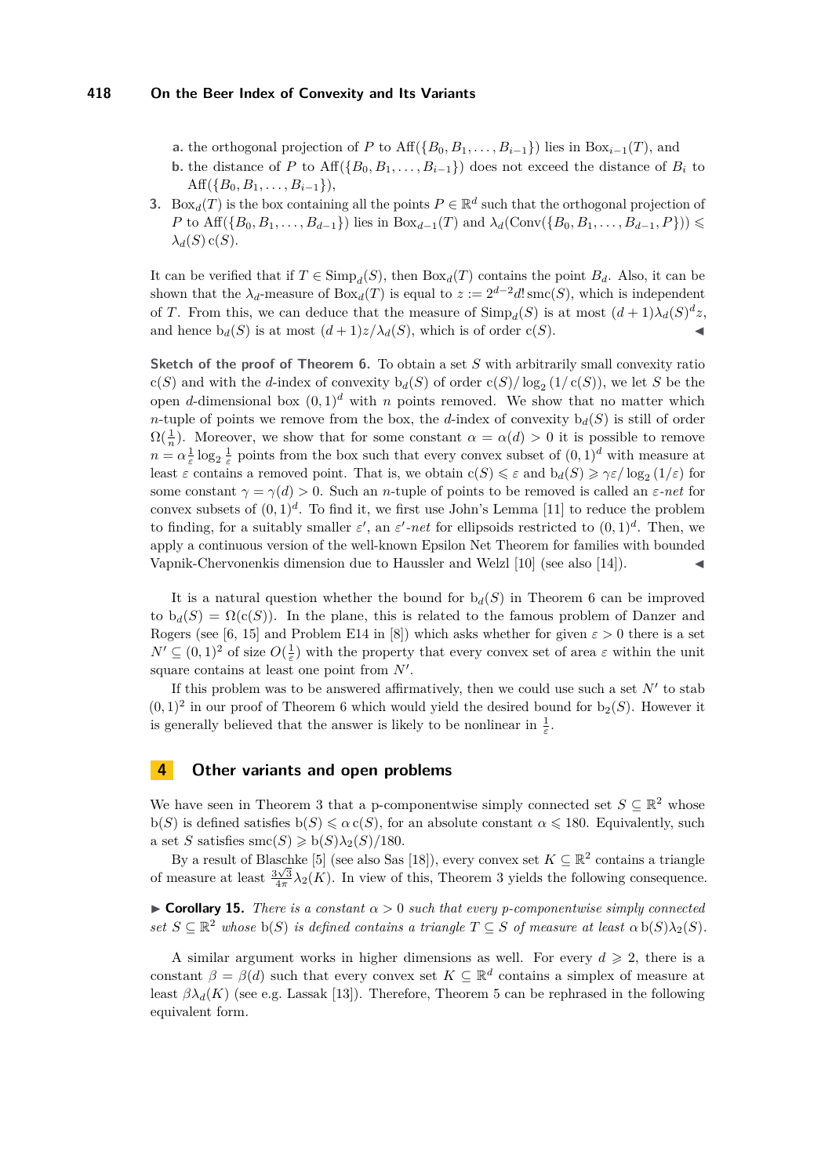- **a.** the orthogonal projection of *P* to Aff $(\{B_0, B_1, \ldots, B_{i-1}\})$  lies in Box<sub>*i*</sub>−1(*T*), and
- **b.** the distance of *P* to  $\text{Aff}(\{B_0, B_1, \ldots, B_{i-1}\})$  does not exceed the distance of  $B_i$  to Aff $({B_0, B_1, \ldots, B_{i-1}}),$
- **3.** Box<sub>*d*</sub>(*T*) is the box containing all the points  $P \in \mathbb{R}^d$  such that the orthogonal projection of *P* to Aff({ $B_0, B_1, ..., B_{d-1}$ }) lies in Box<sub>*d*−1</sub>(*T*) and  $\lambda_d$ (Conv({ $B_0, B_1, ..., B_{d-1}, P$ })) ≤  $\lambda$ <sup>*d*</sup>(*S*) c(*S*).

It can be verified that if  $T \in \text{Simp}_{d}(S)$ , then  $\text{Box}_{d}(T)$  contains the point  $B_d$ . Also, it can be shown that the  $\lambda_d$ -measure of  $Box_d(T)$  is equal to  $z := 2^{d-2}d!$  smc $(S)$ , which is independent of *T*. From this, we can deduce that the measure of  $\text{Simp}_{d}(S)$  is at most  $(d+1)\lambda_{d}(S)^{d}z$ , and hence  $b_d(S)$  is at most  $(d+1)z/\lambda_d(S)$ , which is of order  $c(S)$ .

**Sketch of the proof of Theorem [6.](#page-4-3)** To obtain a set *S* with arbitrarily small convexity ratio  $c(S)$  and with the *d*-index of convexity  $b_d(S)$  of order  $c(S)/\log_2(1/c(S))$ , we let *S* be the open *d*-dimensional box  $(0,1)^d$  with *n* points removed. We show that no matter which *n*-tuple of points we remove from the box, the *d*-index of convexity  $b_d(S)$  is still of order  $\Omega(\frac{1}{n})$ . Moreover, we show that for some constant  $\alpha = \alpha(d) > 0$  it is possible to remove  $n = \alpha \frac{1}{\varepsilon} \log_2 \frac{1}{\varepsilon}$  points from the box such that every convex subset of  $(0, 1)^d$  with measure at least  $\varepsilon$  contains a removed point. That is, we obtain  $c(S) \leq \varepsilon$  and  $b_d(S) \geq \gamma \varepsilon / \log_2(1/\varepsilon)$  for some constant  $\gamma = \gamma(d) > 0$ . Such an *n*-tuple of points to be removed is called an  $\varepsilon$ -net for convex subsets of  $(0,1)^d$ . To find it, we first use John's Lemma [\[11\]](#page-14-11) to reduce the problem to finding, for a suitably smaller  $\varepsilon'$ , an  $\varepsilon'$ -net for ellipsoids restricted to  $(0,1)^d$ . Then, we apply a continuous version of the well-known Epsilon Net Theorem for families with bounded Vapnik-Chervonenkis dimension due to Haussler and Welzl [\[10\]](#page-14-12) (see also [\[14\]](#page-14-13)). J

It is a natural question whether the bound for  $b_d(S)$  in Theorem [6](#page-4-3) can be improved to  $b_d(S) = \Omega(c(S))$ . In the plane, this is related to the famous problem of Danzer and Rogers (see [\[6,](#page-14-14) [15\]](#page-14-15) and Problem E14 in [\[8\]](#page-14-16)) which asks whether for given  $\varepsilon > 0$  there is a set  $N' \subseteq (0,1)^2$  of size  $O(\frac{1}{\varepsilon})$  with the property that every convex set of area  $\varepsilon$  within the unit square contains at least one point from N'.

If this problem was to be answered affirmatively, then we could use such a set  $N'$  to stab  $(0,1)^2$  in our proof of Theorem [6](#page-4-3) which would yield the desired bound for  $b_2(S)$ . However it is generally believed that the answer is likely to be nonlinear in  $\frac{1}{\varepsilon}$ .

# **4 Other variants and open problems**

We have seen in Theorem [3](#page-3-0) that a p-componentwise simply connected set  $S \subseteq \mathbb{R}^2$  whose  $b(S)$  is defined satisfies  $b(S) \leq \alpha c(S)$ , for an absolute constant  $\alpha \leq 180$ . Equivalently, such a set *S* satisfies  $\operatorname{smc}(S) \geqslant \operatorname{b}(S)\lambda_2(S)/180$ .

By a result of Blaschke [\[5\]](#page-14-17) (see also Sas [\[18\]](#page-14-18)), every convex set  $K \subseteq \mathbb{R}^2$  contains a triangle of measure at least  $\frac{3\sqrt{3}}{4\pi}\lambda_2(K)$ . In view of this, Theorem [3](#page-3-0) yields the following consequence.

<span id="page-12-0"></span>**Corollary 15.** *There is a constant*  $\alpha > 0$  *such that every p-componentwise simply connected*  $s$ *et*  $S \subseteq \mathbb{R}^2$  *whose*  $b(S)$  *is defined contains a triangle*  $T \subseteq S$  *of measure at least*  $\alpha$   $b(S)\lambda_2(S)$ *.* 

A similar argument works in higher dimensions as well. For every  $d \geqslant 2$ , there is a constant  $\beta = \beta(d)$  such that every convex set  $K \subseteq \mathbb{R}^d$  contains a simplex of measure at least  $\beta \lambda_d(K)$  (see e.g. Lassak [\[13\]](#page-14-19)). Therefore, Theorem [5](#page-4-0) can be rephrased in the following equivalent form.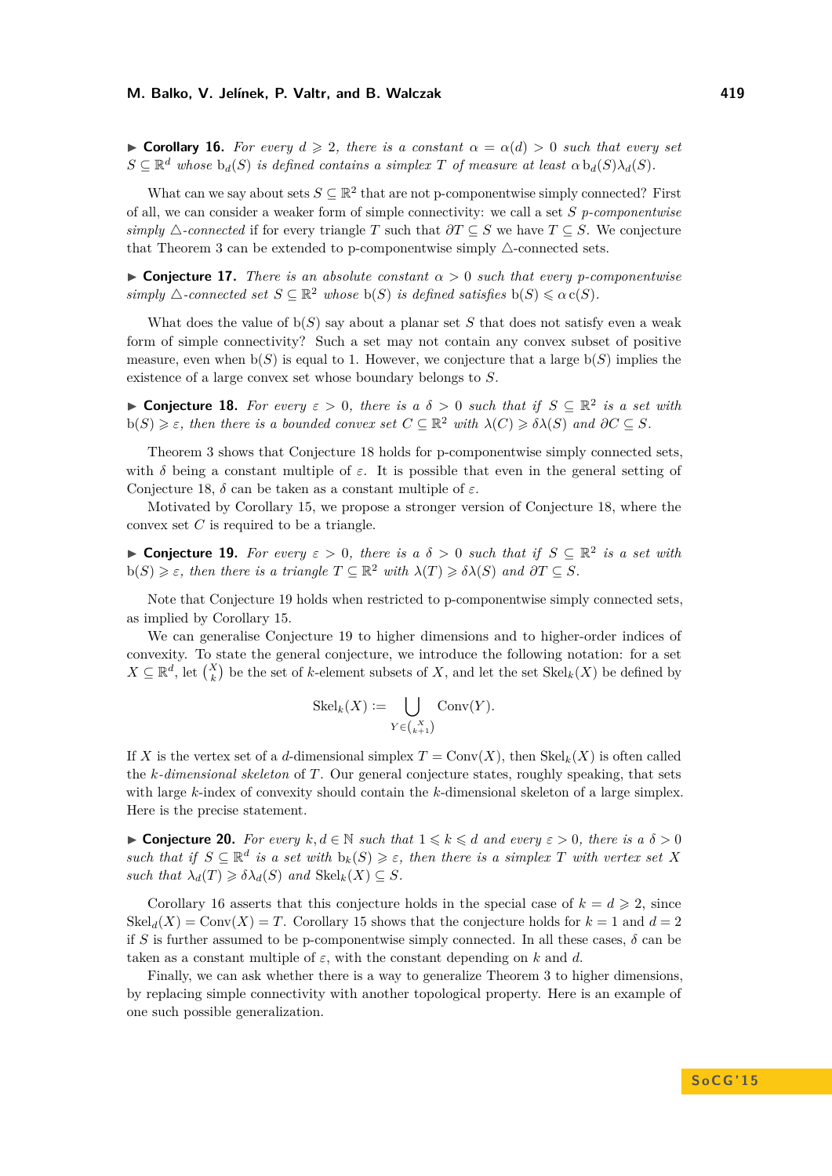<span id="page-13-2"></span> $\triangleright$  **Corollary 16.** *For every*  $d \ge 2$ , *there is a constant*  $\alpha = \alpha(d) > 0$  *such that every set*  $S \subseteq \mathbb{R}^d$  whose  $b_d(S)$  *is defined contains a simplex T of measure at least*  $\alpha b_d(S)\lambda_d(S)$ *.* 

What can we say about sets  $S \subseteq \mathbb{R}^2$  that are not p-componentwise simply connected? First of all, we can consider a weaker form of simple connectivity: we call a set *S p-componentwise simply*  $\triangle$ -connected if for every triangle *T* such that  $\partial T \subseteq S$  we have  $T \subseteq S$ . We conjecture that Theorem [3](#page-3-0) can be extended to p-componentwise simply  $\triangle$ -connected sets.

**If Conjecture 17.** *There is an absolute constant*  $\alpha > 0$  *such that every p-componentwise simply*  $\triangle$ -connected set  $S \subseteq \mathbb{R}^2$  whose  $b(S)$  *is defined satisfies*  $b(S) \leq \alpha c(S)$ *.* 

What does the value of  $b(S)$  say about a planar set S that does not satisfy even a weak form of simple connectivity? Such a set may not contain any convex subset of positive measure, even when  $b(S)$  is equal to 1. However, we conjecture that a large  $b(S)$  implies the existence of a large convex set whose boundary belongs to *S*.

<span id="page-13-0"></span>**► Conjecture 18.** For every  $\varepsilon > 0$ , there is a  $\delta > 0$  such that if  $S \subseteq \mathbb{R}^2$  is a set with  $b(S) \geq \varepsilon$ , then there is a bounded convex set  $C \subseteq \mathbb{R}^2$  with  $\lambda(C) \geq \delta \lambda(S)$  and  $\partial C \subseteq S$ .

Theorem [3](#page-3-0) shows that Conjecture [18](#page-13-0) holds for p-componentwise simply connected sets, with  $\delta$  being a constant multiple of  $\varepsilon$ . It is possible that even in the general setting of Conjecture [18,](#page-13-0)  $\delta$  can be taken as a constant multiple of  $\varepsilon$ .

Motivated by Corollary [15,](#page-12-0) we propose a stronger version of Conjecture [18,](#page-13-0) where the convex set *C* is required to be a triangle.

<span id="page-13-1"></span>**► Conjecture 19.** For every  $\varepsilon > 0$ , there is a  $\delta > 0$  such that if  $S \subseteq \mathbb{R}^2$  is a set with  $b(S) \geq \varepsilon$ , then there is a triangle  $T \subseteq \mathbb{R}^2$  with  $\lambda(T) \geq \delta \lambda(S)$  and  $\partial T \subseteq S$ .

Note that Conjecture [19](#page-13-1) holds when restricted to p-componentwise simply connected sets, as implied by Corollary [15.](#page-12-0)

We can generalise Conjecture [19](#page-13-1) to higher dimensions and to higher-order indices of convexity. To state the general conjecture, we introduce the following notation: for a set  $X \subseteq \mathbb{R}^d$ , let  $\binom{X}{k}$  be the set of *k*-element subsets of *X*, and let the set  $\text{Skel}_k(X)$  be defined by

$$
Skel_k(X) := \bigcup_{Y \in {X \choose k+1}} Conv(Y).
$$

If *X* is the vertex set of a *d*-dimensional simplex  $T = \text{Conv}(X)$ , then  $\text{Skel}_k(X)$  is often called the *k-dimensional skeleton* of *T*. Our general conjecture states, roughly speaking, that sets with large *k*-index of convexity should contain the *k*-dimensional skeleton of a large simplex. Here is the precise statement.

**► Conjecture 20.** *For every*  $k, d \in \mathbb{N}$  *such that*  $1 \leq k \leq d$  *and every*  $\varepsilon > 0$ *, there is a*  $\delta > 0$ *such that if*  $S \subseteq \mathbb{R}^d$  *is a set with*  $b_k(S) \geq \varepsilon$ , then there *is a simplex T with vertex set X*  $such that \lambda_d(T) \geq \delta \lambda_d(S) \text{ and } \text{Skel}_k(X) \subseteq S.$ 

Corollary [16](#page-13-2) asserts that this conjecture holds in the special case of  $k = d \geq 2$ , since  $Skel<sub>d</sub>(X) = Conv(X) = T$ . Corollary [15](#page-12-0) shows that the conjecture holds for  $k = 1$  and  $d = 2$ if *S* is further assumed to be p-componentwise simply connected. In all these cases,  $\delta$  can be taken as a constant multiple of  $\varepsilon$ , with the constant depending on  $k$  and  $d$ .

Finally, we can ask whether there is a way to generalize Theorem [3](#page-3-0) to higher dimensions, by replacing simple connectivity with another topological property. Here is an example of one such possible generalization.